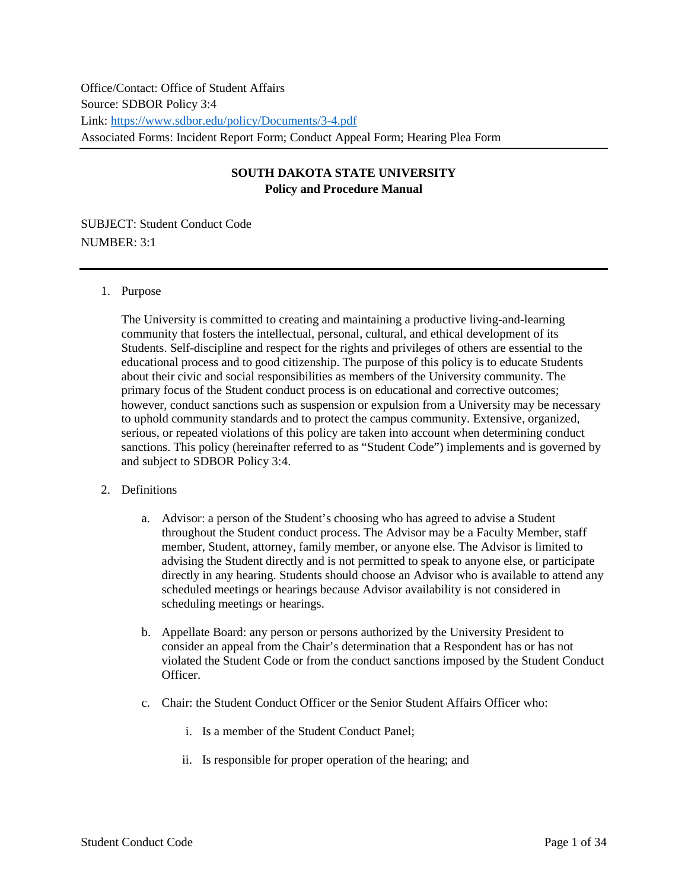Office/Contact: Office of Student Affairs Source: SDBOR Policy 3:4 Link:<https://www.sdbor.edu/policy/Documents/3-4.pdf> Associated Forms: Incident Report Form; Conduct Appeal Form; Hearing Plea Form

# **SOUTH DAKOTA STATE UNIVERSITY Policy and Procedure Manual**

SUBJECT: Student Conduct Code NUMBER: 3:1

#### 1. Purpose

The University is committed to creating and maintaining a productive living-and-learning community that fosters the intellectual, personal, cultural, and ethical development of its Students. Self-discipline and respect for the rights and privileges of others are essential to the educational process and to good citizenship. The purpose of this policy is to educate Students about their civic and social responsibilities as members of the University community. The primary focus of the Student conduct process is on educational and corrective outcomes; however, conduct sanctions such as suspension or expulsion from a University may be necessary to uphold community standards and to protect the campus community. Extensive, organized, serious, or repeated violations of this policy are taken into account when determining conduct sanctions. This policy (hereinafter referred to as "Student Code") implements and is governed by and subject to SDBOR Policy 3:4.

## 2. Definitions

- a. Advisor: a person of the Student's choosing who has agreed to advise a Student throughout the Student conduct process. The Advisor may be a Faculty Member, staff member, Student, attorney, family member, or anyone else. The Advisor is limited to advising the Student directly and is not permitted to speak to anyone else, or participate directly in any hearing. Students should choose an Advisor who is available to attend any scheduled meetings or hearings because Advisor availability is not considered in scheduling meetings or hearings.
- b. Appellate Board: any person or persons authorized by the University President to consider an appeal from the Chair's determination that a Respondent has or has not violated the Student Code or from the conduct sanctions imposed by the Student Conduct **Officer**
- c. Chair: the Student Conduct Officer or the Senior Student Affairs Officer who:
	- i. Is a member of the Student Conduct Panel;
	- ii. Is responsible for proper operation of the hearing; and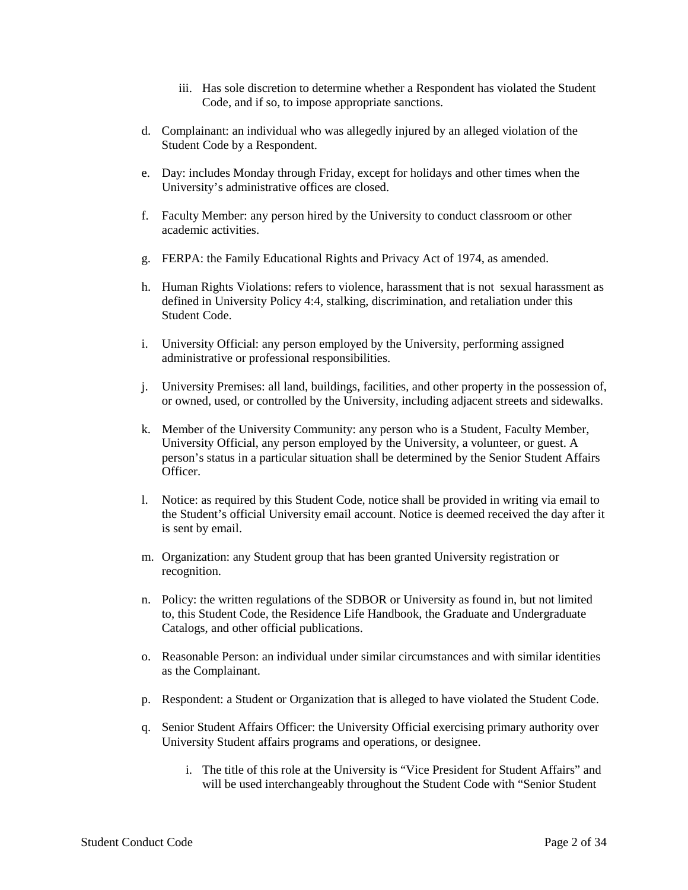- iii. Has sole discretion to determine whether a Respondent has violated the Student Code, and if so, to impose appropriate sanctions.
- d. Complainant: an individual who was allegedly injured by an alleged violation of the Student Code by a Respondent.
- e. Day: includes Monday through Friday, except for holidays and other times when the University's administrative offices are closed.
- f. Faculty Member: any person hired by the University to conduct classroom or other academic activities.
- g. FERPA: the Family Educational Rights and Privacy Act of 1974, as amended.
- h. Human Rights Violations: refers to violence, harassment that is not sexual harassment as defined in University Policy 4:4, stalking, discrimination, and retaliation under this Student Code.
- i. University Official: any person employed by the University, performing assigned administrative or professional responsibilities.
- j. University Premises: all land, buildings, facilities, and other property in the possession of, or owned, used, or controlled by the University, including adjacent streets and sidewalks.
- k. Member of the University Community: any person who is a Student, Faculty Member, University Official, any person employed by the University, a volunteer, or guest. A person's status in a particular situation shall be determined by the Senior Student Affairs Officer.
- l. Notice: as required by this Student Code, notice shall be provided in writing via email to the Student's official University email account. Notice is deemed received the day after it is sent by email.
- m. Organization: any Student group that has been granted University registration or recognition.
- n. Policy: the written regulations of the SDBOR or University as found in, but not limited to, this Student Code, the Residence Life Handbook, the Graduate and Undergraduate Catalogs, and other official publications.
- o. Reasonable Person: an individual under similar circumstances and with similar identities as the Complainant.
- p. Respondent: a Student or Organization that is alleged to have violated the Student Code.
- q. Senior Student Affairs Officer: the University Official exercising primary authority over University Student affairs programs and operations, or designee.
	- i. The title of this role at the University is "Vice President for Student Affairs" and will be used interchangeably throughout the Student Code with "Senior Student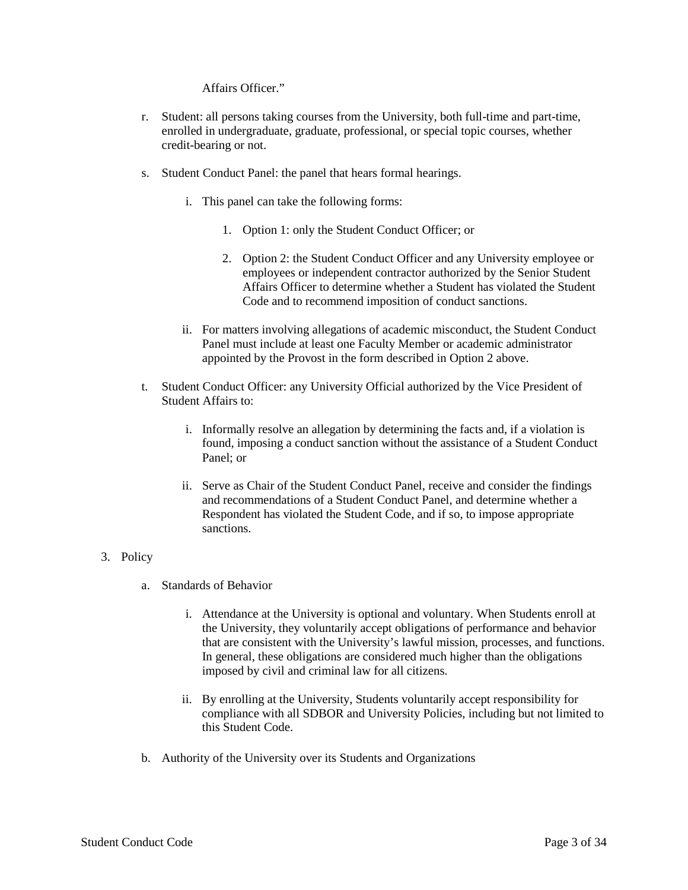Affairs Officer."

- r. Student: all persons taking courses from the University, both full-time and part-time, enrolled in undergraduate, graduate, professional, or special topic courses, whether credit-bearing or not.
- s. Student Conduct Panel: the panel that hears formal hearings.
	- i. This panel can take the following forms:
		- 1. Option 1: only the Student Conduct Officer; or
		- 2. Option 2: the Student Conduct Officer and any University employee or employees or independent contractor authorized by the Senior Student Affairs Officer to determine whether a Student has violated the Student Code and to recommend imposition of conduct sanctions.
	- ii. For matters involving allegations of academic misconduct, the Student Conduct Panel must include at least one Faculty Member or academic administrator appointed by the Provost in the form described in Option 2 above.
- t. Student Conduct Officer: any University Official authorized by the Vice President of Student Affairs to:
	- i. Informally resolve an allegation by determining the facts and, if a violation is found, imposing a conduct sanction without the assistance of a Student Conduct Panel; or
	- ii. Serve as Chair of the Student Conduct Panel, receive and consider the findings and recommendations of a Student Conduct Panel, and determine whether a Respondent has violated the Student Code, and if so, to impose appropriate sanctions.

#### 3. Policy

- a. Standards of Behavior
	- i. Attendance at the University is optional and voluntary. When Students enroll at the University, they voluntarily accept obligations of performance and behavior that are consistent with the University's lawful mission, processes, and functions. In general, these obligations are considered much higher than the obligations imposed by civil and criminal law for all citizens.
	- ii. By enrolling at the University, Students voluntarily accept responsibility for compliance with all SDBOR and University Policies, including but not limited to this Student Code.
- b. Authority of the University over its Students and Organizations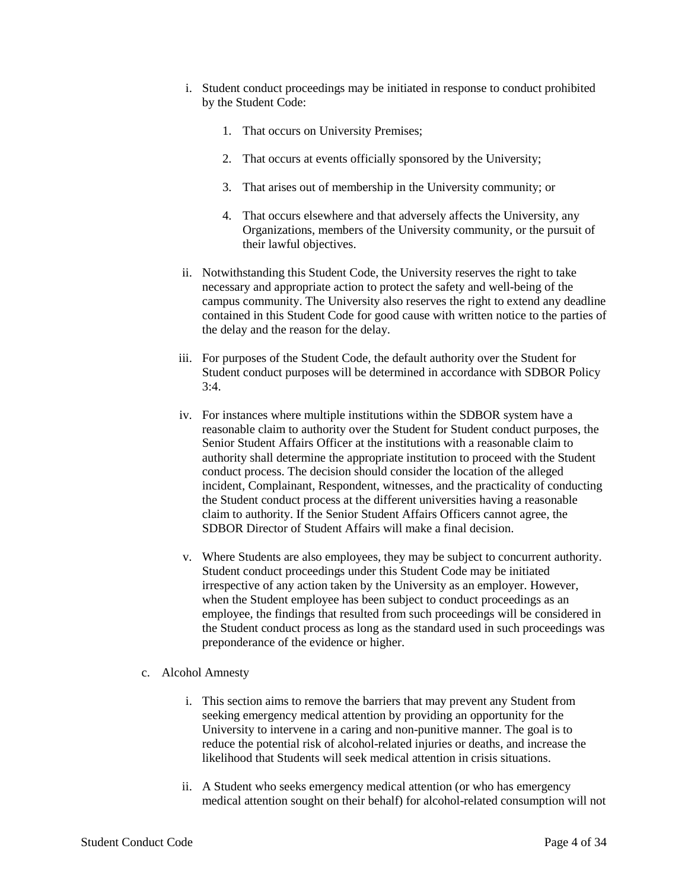- i. Student conduct proceedings may be initiated in response to conduct prohibited by the Student Code:
	- 1. That occurs on University Premises;
	- 2. That occurs at events officially sponsored by the University;
	- 3. That arises out of membership in the University community; or
	- 4. That occurs elsewhere and that adversely affects the University, any Organizations, members of the University community, or the pursuit of their lawful objectives.
- ii. Notwithstanding this Student Code, the University reserves the right to take necessary and appropriate action to protect the safety and well-being of the campus community. The University also reserves the right to extend any deadline contained in this Student Code for good cause with written notice to the parties of the delay and the reason for the delay.
- iii. For purposes of the Student Code, the default authority over the Student for Student conduct purposes will be determined in accordance with SDBOR Policy  $3.4$ .
- iv. For instances where multiple institutions within the SDBOR system have a reasonable claim to authority over the Student for Student conduct purposes, the Senior Student Affairs Officer at the institutions with a reasonable claim to authority shall determine the appropriate institution to proceed with the Student conduct process. The decision should consider the location of the alleged incident, Complainant, Respondent, witnesses, and the practicality of conducting the Student conduct process at the different universities having a reasonable claim to authority. If the Senior Student Affairs Officers cannot agree, the SDBOR Director of Student Affairs will make a final decision.
- v. Where Students are also employees, they may be subject to concurrent authority. Student conduct proceedings under this Student Code may be initiated irrespective of any action taken by the University as an employer. However, when the Student employee has been subject to conduct proceedings as an employee, the findings that resulted from such proceedings will be considered in the Student conduct process as long as the standard used in such proceedings was preponderance of the evidence or higher.
- c. Alcohol Amnesty
	- i. This section aims to remove the barriers that may prevent any Student from seeking emergency medical attention by providing an opportunity for the University to intervene in a caring and non-punitive manner. The goal is to reduce the potential risk of alcohol-related injuries or deaths, and increase the likelihood that Students will seek medical attention in crisis situations.
	- ii. A Student who seeks emergency medical attention (or who has emergency medical attention sought on their behalf) for alcohol-related consumption will not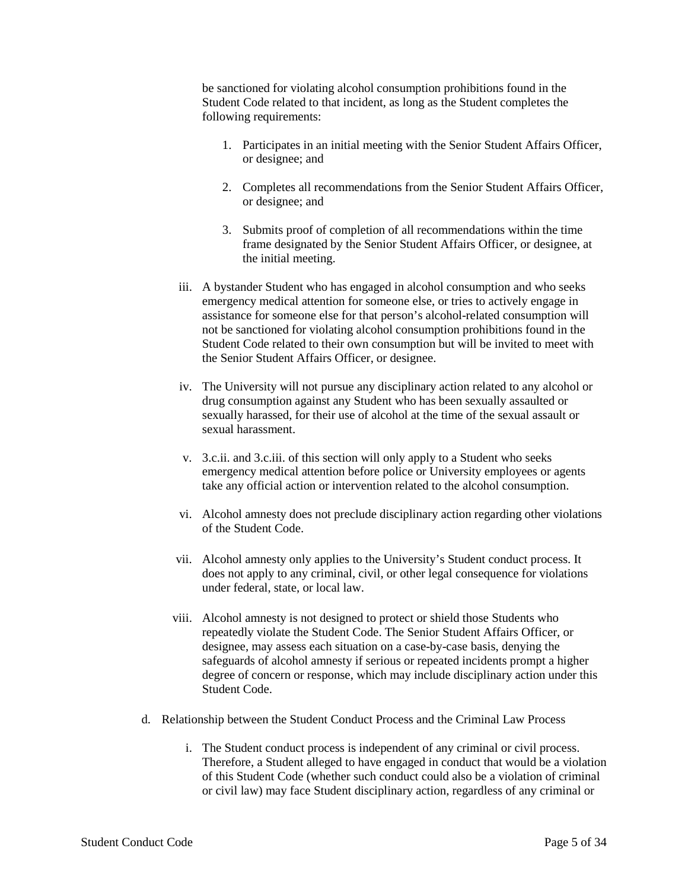be sanctioned for violating alcohol consumption prohibitions found in the Student Code related to that incident, as long as the Student completes the following requirements:

- 1. Participates in an initial meeting with the Senior Student Affairs Officer, or designee; and
- 2. Completes all recommendations from the Senior Student Affairs Officer, or designee; and
- 3. Submits proof of completion of all recommendations within the time frame designated by the Senior Student Affairs Officer, or designee, at the initial meeting.
- iii. A bystander Student who has engaged in alcohol consumption and who seeks emergency medical attention for someone else, or tries to actively engage in assistance for someone else for that person's alcohol-related consumption will not be sanctioned for violating alcohol consumption prohibitions found in the Student Code related to their own consumption but will be invited to meet with the Senior Student Affairs Officer, or designee.
- iv. The University will not pursue any disciplinary action related to any alcohol or drug consumption against any Student who has been sexually assaulted or sexually harassed, for their use of alcohol at the time of the sexual assault or sexual harassment.
- v. 3.c.ii. and 3.c.iii. of this section will only apply to a Student who seeks emergency medical attention before police or University employees or agents take any official action or intervention related to the alcohol consumption.
- vi. Alcohol amnesty does not preclude disciplinary action regarding other violations of the Student Code.
- vii. Alcohol amnesty only applies to the University's Student conduct process. It does not apply to any criminal, civil, or other legal consequence for violations under federal, state, or local law.
- viii. Alcohol amnesty is not designed to protect or shield those Students who repeatedly violate the Student Code. The Senior Student Affairs Officer, or designee, may assess each situation on a case-by-case basis, denying the safeguards of alcohol amnesty if serious or repeated incidents prompt a higher degree of concern or response, which may include disciplinary action under this Student Code.
- d. Relationship between the Student Conduct Process and the Criminal Law Process
	- i. The Student conduct process is independent of any criminal or civil process. Therefore, a Student alleged to have engaged in conduct that would be a violation of this Student Code (whether such conduct could also be a violation of criminal or civil law) may face Student disciplinary action, regardless of any criminal or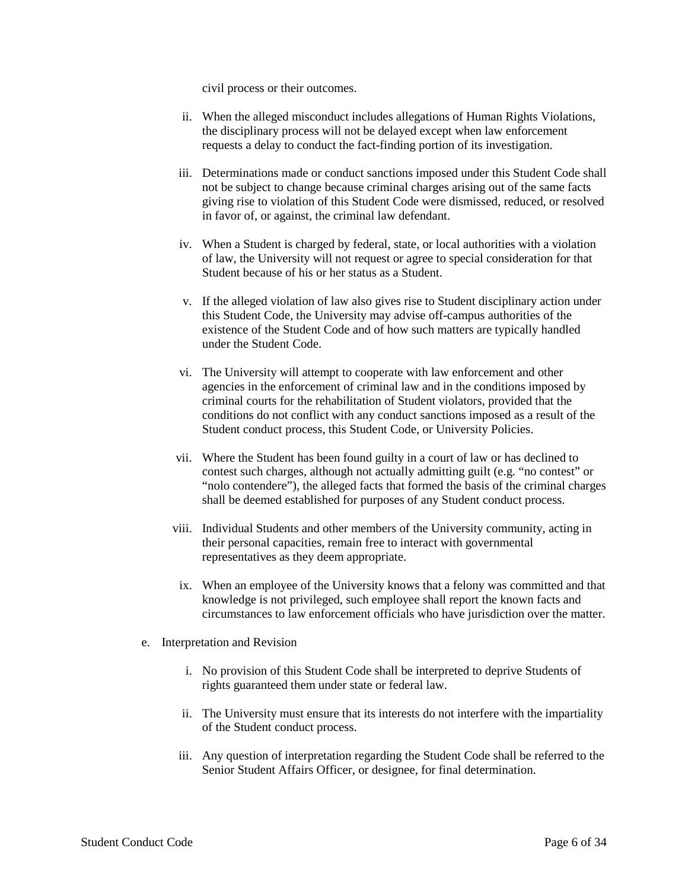civil process or their outcomes.

- ii. When the alleged misconduct includes allegations of Human Rights Violations, the disciplinary process will not be delayed except when law enforcement requests a delay to conduct the fact-finding portion of its investigation.
- iii. Determinations made or conduct sanctions imposed under this Student Code shall not be subject to change because criminal charges arising out of the same facts giving rise to violation of this Student Code were dismissed, reduced, or resolved in favor of, or against, the criminal law defendant.
- iv. When a Student is charged by federal, state, or local authorities with a violation of law, the University will not request or agree to special consideration for that Student because of his or her status as a Student.
- v. If the alleged violation of law also gives rise to Student disciplinary action under this Student Code, the University may advise off-campus authorities of the existence of the Student Code and of how such matters are typically handled under the Student Code.
- vi. The University will attempt to cooperate with law enforcement and other agencies in the enforcement of criminal law and in the conditions imposed by criminal courts for the rehabilitation of Student violators, provided that the conditions do not conflict with any conduct sanctions imposed as a result of the Student conduct process, this Student Code, or University Policies.
- vii. Where the Student has been found guilty in a court of law or has declined to contest such charges, although not actually admitting guilt (e.g. "no contest" or "nolo contendere"), the alleged facts that formed the basis of the criminal charges shall be deemed established for purposes of any Student conduct process.
- viii. Individual Students and other members of the University community, acting in their personal capacities, remain free to interact with governmental representatives as they deem appropriate.
- ix. When an employee of the University knows that a felony was committed and that knowledge is not privileged, such employee shall report the known facts and circumstances to law enforcement officials who have jurisdiction over the matter.
- e. Interpretation and Revision
	- i. No provision of this Student Code shall be interpreted to deprive Students of rights guaranteed them under state or federal law.
	- ii. The University must ensure that its interests do not interfere with the impartiality of the Student conduct process.
	- iii. Any question of interpretation regarding the Student Code shall be referred to the Senior Student Affairs Officer, or designee, for final determination.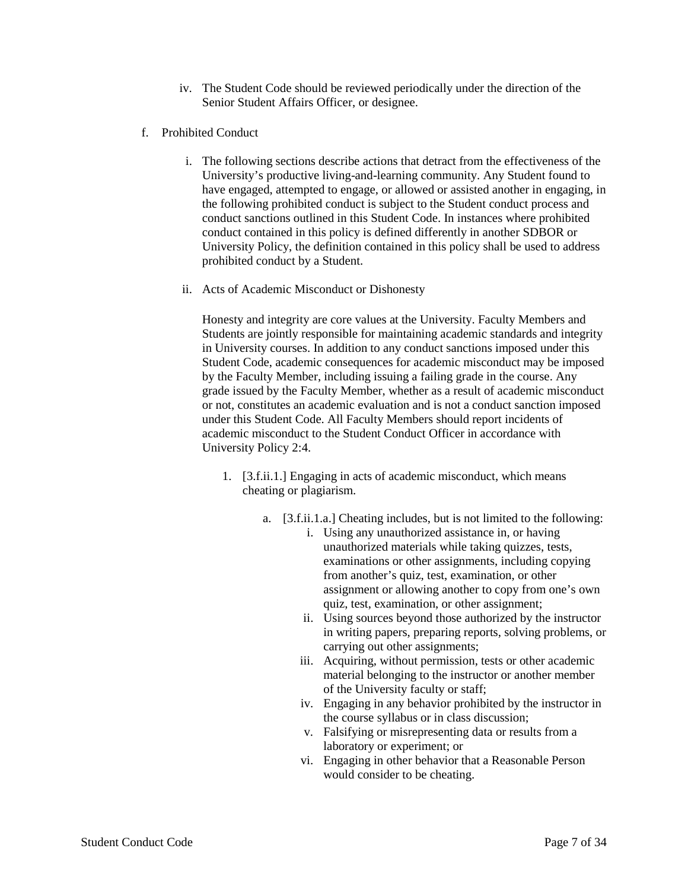- iv. The Student Code should be reviewed periodically under the direction of the Senior Student Affairs Officer, or designee.
- f. Prohibited Conduct
	- i. The following sections describe actions that detract from the effectiveness of the University's productive living-and-learning community. Any Student found to have engaged, attempted to engage, or allowed or assisted another in engaging, in the following prohibited conduct is subject to the Student conduct process and conduct sanctions outlined in this Student Code. In instances where prohibited conduct contained in this policy is defined differently in another SDBOR or University Policy, the definition contained in this policy shall be used to address prohibited conduct by a Student.
	- ii. Acts of Academic Misconduct or Dishonesty

Honesty and integrity are core values at the University. Faculty Members and Students are jointly responsible for maintaining academic standards and integrity in University courses. In addition to any conduct sanctions imposed under this Student Code, academic consequences for academic misconduct may be imposed by the Faculty Member, including issuing a failing grade in the course. Any grade issued by the Faculty Member, whether as a result of academic misconduct or not, constitutes an academic evaluation and is not a conduct sanction imposed under this Student Code. All Faculty Members should report incidents of academic misconduct to the Student Conduct Officer in accordance with University Policy 2:4.

- 1. [3.f.ii.1.] Engaging in acts of academic misconduct, which means cheating or plagiarism.
	- a. [3.f.ii.1.a.] Cheating includes, but is not limited to the following:
		- i. Using any unauthorized assistance in, or having unauthorized materials while taking quizzes, tests, examinations or other assignments, including copying from another's quiz, test, examination, or other assignment or allowing another to copy from one's own quiz, test, examination, or other assignment;
		- ii. Using sources beyond those authorized by the instructor in writing papers, preparing reports, solving problems, or carrying out other assignments;
		- iii. Acquiring, without permission, tests or other academic material belonging to the instructor or another member of the University faculty or staff;
		- iv. Engaging in any behavior prohibited by the instructor in the course syllabus or in class discussion;
		- v. Falsifying or misrepresenting data or results from a laboratory or experiment; or
		- vi. Engaging in other behavior that a Reasonable Person would consider to be cheating.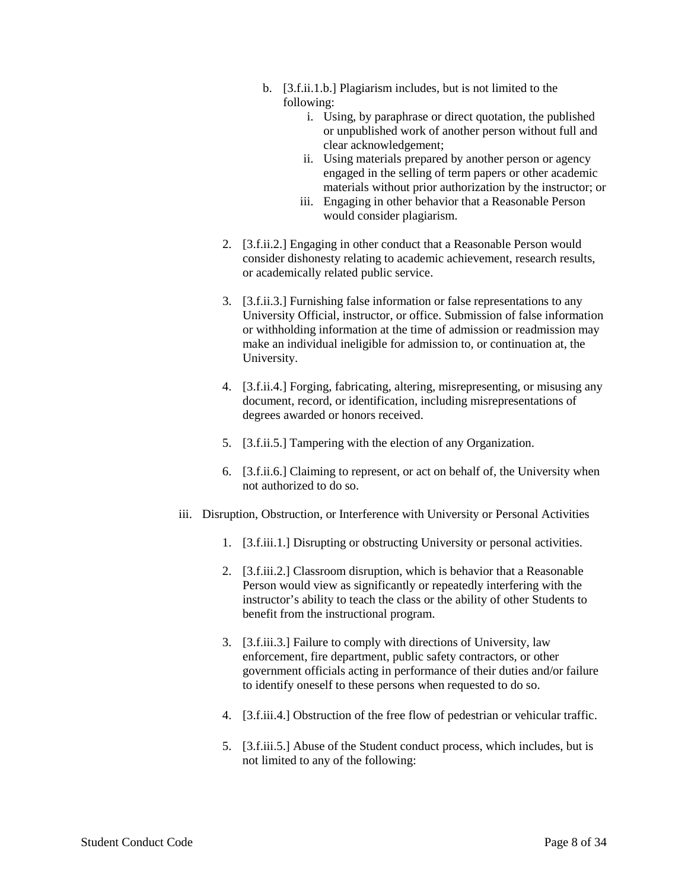- b. [3.f.ii.1.b.] Plagiarism includes, but is not limited to the following:
	- i. Using, by paraphrase or direct quotation, the published or unpublished work of another person without full and clear acknowledgement;
	- ii. Using materials prepared by another person or agency engaged in the selling of term papers or other academic materials without prior authorization by the instructor; or
	- iii. Engaging in other behavior that a Reasonable Person would consider plagiarism.
- 2. [3.f.ii.2.] Engaging in other conduct that a Reasonable Person would consider dishonesty relating to academic achievement, research results, or academically related public service.
- 3. [3.f.ii.3.] Furnishing false information or false representations to any University Official, instructor, or office. Submission of false information or withholding information at the time of admission or readmission may make an individual ineligible for admission to, or continuation at, the University.
- 4. [3.f.ii.4.] Forging, fabricating, altering, misrepresenting, or misusing any document, record, or identification, including misrepresentations of degrees awarded or honors received.
- 5. [3.f.ii.5.] Tampering with the election of any Organization.
- 6. [3.f.ii.6.] Claiming to represent, or act on behalf of, the University when not authorized to do so.
- iii. Disruption, Obstruction, or Interference with University or Personal Activities
	- 1. [3.f.iii.1.] Disrupting or obstructing University or personal activities.
	- 2. [3.f.iii.2.] Classroom disruption, which is behavior that a Reasonable Person would view as significantly or repeatedly interfering with the instructor's ability to teach the class or the ability of other Students to benefit from the instructional program.
	- 3. [3.f.iii.3.] Failure to comply with directions of University, law enforcement, fire department, public safety contractors, or other government officials acting in performance of their duties and/or failure to identify oneself to these persons when requested to do so.
	- 4. [3.f.iii.4.] Obstruction of the free flow of pedestrian or vehicular traffic.
	- 5. [3.f.iii.5.] Abuse of the Student conduct process, which includes, but is not limited to any of the following: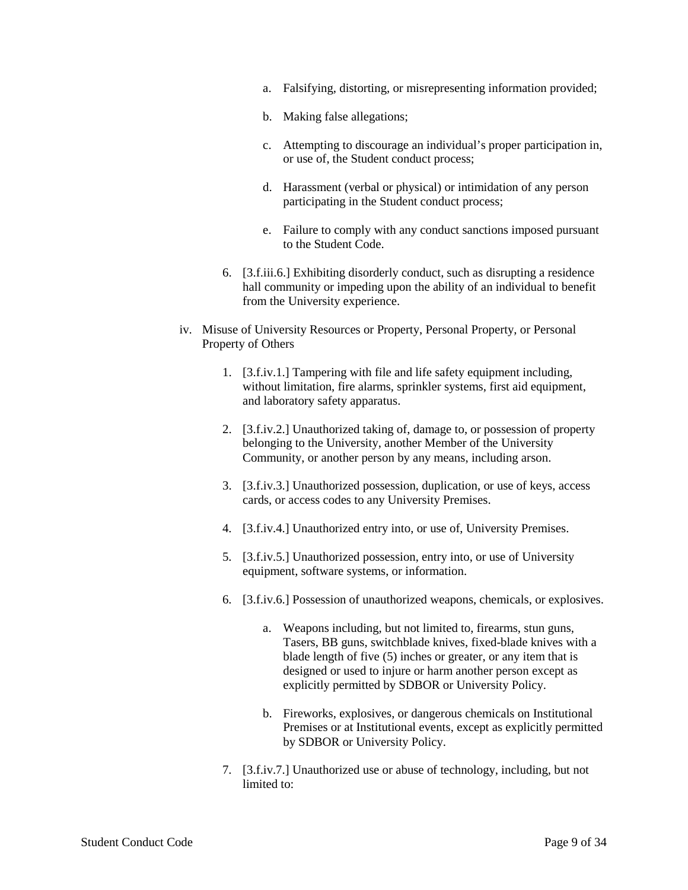- a. Falsifying, distorting, or misrepresenting information provided;
- b. Making false allegations;
- c. Attempting to discourage an individual's proper participation in, or use of, the Student conduct process;
- d. Harassment (verbal or physical) or intimidation of any person participating in the Student conduct process;
- e. Failure to comply with any conduct sanctions imposed pursuant to the Student Code.
- 6. [3.f.iii.6.] Exhibiting disorderly conduct, such as disrupting a residence hall community or impeding upon the ability of an individual to benefit from the University experience.
- iv. Misuse of University Resources or Property, Personal Property, or Personal Property of Others
	- 1. [3.f.iv.1.] Tampering with file and life safety equipment including, without limitation, fire alarms, sprinkler systems, first aid equipment, and laboratory safety apparatus.
	- 2. [3.f.iv.2.] Unauthorized taking of, damage to, or possession of property belonging to the University, another Member of the University Community, or another person by any means, including arson.
	- 3. [3.f.iv.3.] Unauthorized possession, duplication, or use of keys, access cards, or access codes to any University Premises.
	- 4. [3.f.iv.4.] Unauthorized entry into, or use of, University Premises.
	- 5. [3.f.iv.5.] Unauthorized possession, entry into, or use of University equipment, software systems, or information.
	- 6. [3.f.iv.6.] Possession of unauthorized weapons, chemicals, or explosives.
		- a. Weapons including, but not limited to, firearms, stun guns, Tasers, BB guns, switchblade knives, fixed-blade knives with a blade length of five (5) inches or greater, or any item that is designed or used to injure or harm another person except as explicitly permitted by SDBOR or University Policy.
		- b. Fireworks, explosives, or dangerous chemicals on Institutional Premises or at Institutional events, except as explicitly permitted by SDBOR or University Policy.
	- 7. [3.f.iv.7.] Unauthorized use or abuse of technology, including, but not limited to: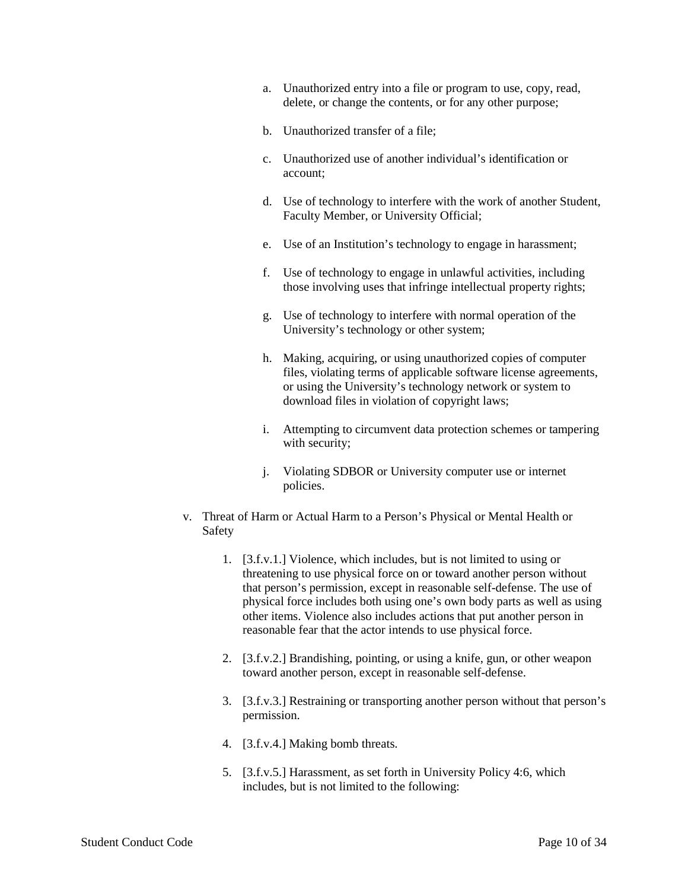- a. Unauthorized entry into a file or program to use, copy, read, delete, or change the contents, or for any other purpose;
- b. Unauthorized transfer of a file;
- c. Unauthorized use of another individual's identification or account;
- d. Use of technology to interfere with the work of another Student, Faculty Member, or University Official;
- e. Use of an Institution's technology to engage in harassment;
- f. Use of technology to engage in unlawful activities, including those involving uses that infringe intellectual property rights;
- g. Use of technology to interfere with normal operation of the University's technology or other system;
- h. Making, acquiring, or using unauthorized copies of computer files, violating terms of applicable software license agreements, or using the University's technology network or system to download files in violation of copyright laws;
- i. Attempting to circumvent data protection schemes or tampering with security;
- j. Violating SDBOR or University computer use or internet policies.
- v. Threat of Harm or Actual Harm to a Person's Physical or Mental Health or Safety
	- 1. [3.f.v.1.] Violence, which includes, but is not limited to using or threatening to use physical force on or toward another person without that person's permission, except in reasonable self-defense. The use of physical force includes both using one's own body parts as well as using other items. Violence also includes actions that put another person in reasonable fear that the actor intends to use physical force.
	- 2. [3.f.v.2.] Brandishing, pointing, or using a knife, gun, or other weapon toward another person, except in reasonable self-defense.
	- 3. [3.f.v.3.] Restraining or transporting another person without that person's permission.
	- 4. [3.f.v.4.] Making bomb threats.
	- 5. [3.f.v.5.] Harassment, as set forth in University Policy 4:6, which includes, but is not limited to the following: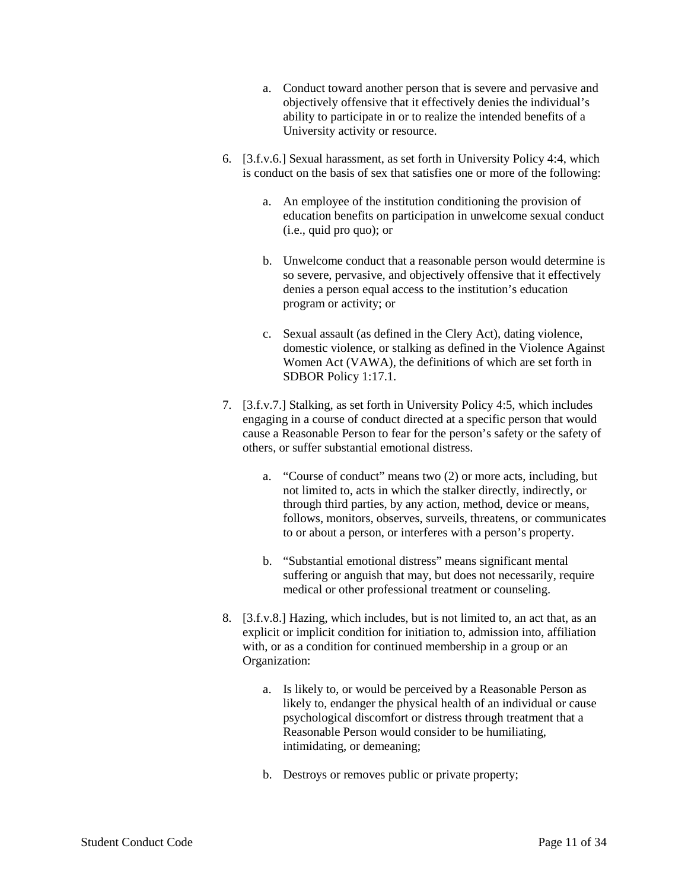- a. Conduct toward another person that is severe and pervasive and objectively offensive that it effectively denies the individual's ability to participate in or to realize the intended benefits of a University activity or resource.
- 6. [3.f.v.6.] Sexual harassment, as set forth in University Policy 4:4, which is conduct on the basis of sex that satisfies one or more of the following:
	- a. An employee of the institution conditioning the provision of education benefits on participation in unwelcome sexual conduct (i.e., quid pro quo); or
	- b. Unwelcome conduct that a reasonable person would determine is so severe, pervasive, and objectively offensive that it effectively denies a person equal access to the institution's education program or activity; or
	- c. Sexual assault (as defined in the Clery Act), dating violence, domestic violence, or stalking as defined in the Violence Against Women Act (VAWA), the definitions of which are set forth in SDBOR Policy 1:17.1.
- 7. [3.f.v.7.] Stalking, as set forth in University Policy 4:5, which includes engaging in a course of conduct directed at a specific person that would cause a Reasonable Person to fear for the person's safety or the safety of others, or suffer substantial emotional distress.
	- a. "Course of conduct" means two (2) or more acts, including, but not limited to, acts in which the stalker directly, indirectly, or through third parties, by any action, method, device or means, follows, monitors, observes, surveils, threatens, or communicates to or about a person, or interferes with a person's property.
	- b. "Substantial emotional distress" means significant mental suffering or anguish that may, but does not necessarily, require medical or other professional treatment or counseling.
- 8. [3.f.v.8.] Hazing, which includes, but is not limited to, an act that, as an explicit or implicit condition for initiation to, admission into, affiliation with, or as a condition for continued membership in a group or an Organization:
	- a. Is likely to, or would be perceived by a Reasonable Person as likely to, endanger the physical health of an individual or cause psychological discomfort or distress through treatment that a Reasonable Person would consider to be humiliating, intimidating, or demeaning;
	- b. Destroys or removes public or private property;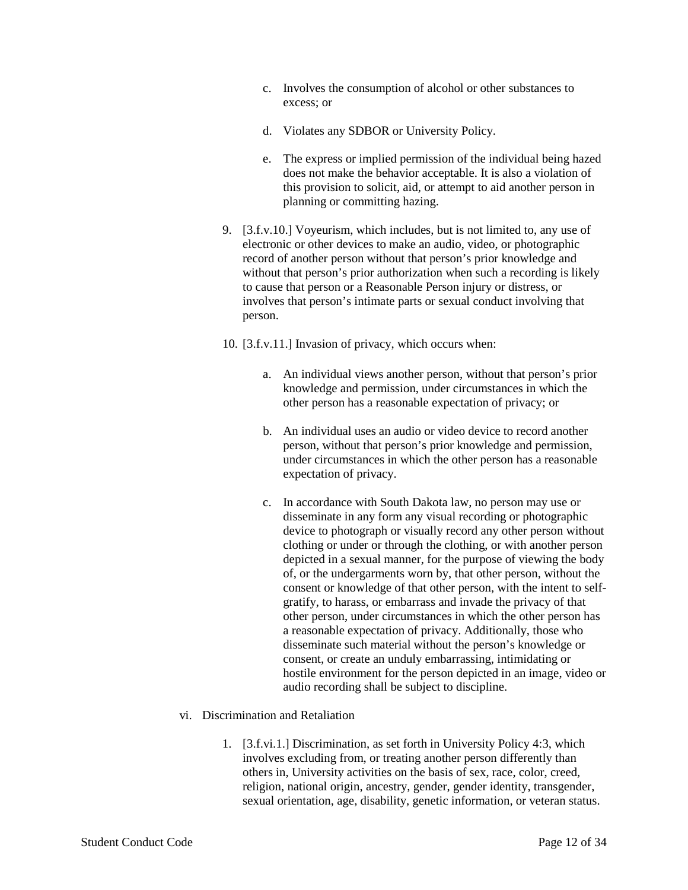- c. Involves the consumption of alcohol or other substances to excess; or
- d. Violates any SDBOR or University Policy.
- e. The express or implied permission of the individual being hazed does not make the behavior acceptable. It is also a violation of this provision to solicit, aid, or attempt to aid another person in planning or committing hazing.
- 9. [3.f.v.10.] Voyeurism, which includes, but is not limited to, any use of electronic or other devices to make an audio, video, or photographic record of another person without that person's prior knowledge and without that person's prior authorization when such a recording is likely to cause that person or a Reasonable Person injury or distress, or involves that person's intimate parts or sexual conduct involving that person.
- 10. [3.f.v.11.] Invasion of privacy, which occurs when:
	- a. An individual views another person, without that person's prior knowledge and permission, under circumstances in which the other person has a reasonable expectation of privacy; or
	- b. An individual uses an audio or video device to record another person, without that person's prior knowledge and permission, under circumstances in which the other person has a reasonable expectation of privacy.
	- c. In accordance with South Dakota law, no person may use or disseminate in any form any visual recording or photographic device to photograph or visually record any other person without clothing or under or through the clothing, or with another person depicted in a sexual manner, for the purpose of viewing the body of, or the undergarments worn by, that other person, without the consent or knowledge of that other person, with the intent to selfgratify, to harass, or embarrass and invade the privacy of that other person, under circumstances in which the other person has a reasonable expectation of privacy. Additionally, those who disseminate such material without the person's knowledge or consent, or create an unduly embarrassing, intimidating or hostile environment for the person depicted in an image, video or audio recording shall be subject to discipline.
- vi. Discrimination and Retaliation
	- 1. [3.f.vi.1.] Discrimination, as set forth in University Policy 4:3, which involves excluding from, or treating another person differently than others in, University activities on the basis of sex, race, color, creed, religion, national origin, ancestry, gender, gender identity, transgender, sexual orientation, age, disability, genetic information, or veteran status.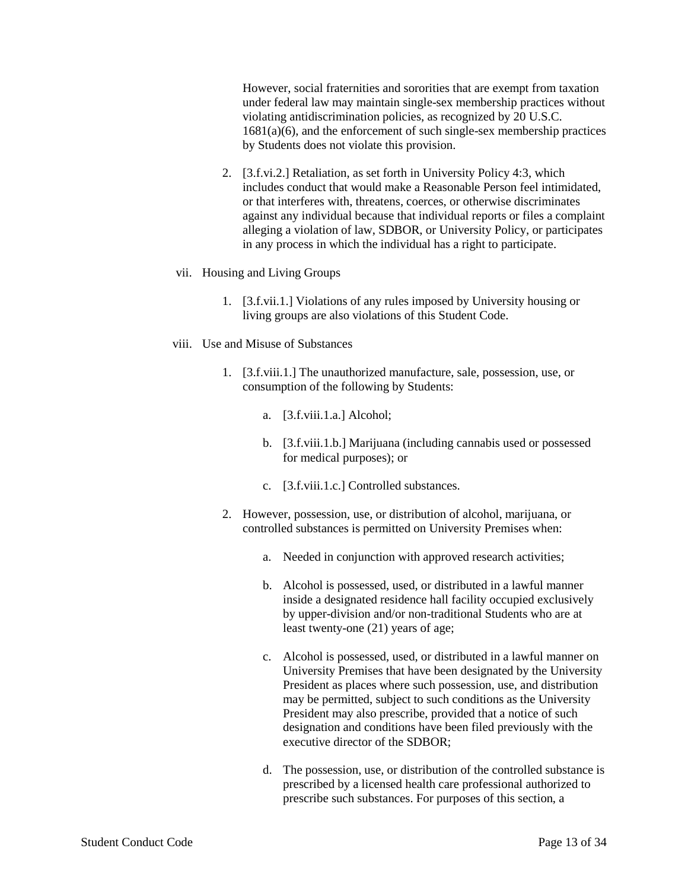However, social fraternities and sororities that are exempt from taxation under federal law may maintain single-sex membership practices without violating antidiscrimination policies, as recognized by 20 U.S.C.  $1681(a)(6)$ , and the enforcement of such single-sex membership practices by Students does not violate this provision.

- 2. [3.f.vi.2.] Retaliation, as set forth in University Policy 4:3, which includes conduct that would make a Reasonable Person feel intimidated, or that interferes with, threatens, coerces, or otherwise discriminates against any individual because that individual reports or files a complaint alleging a violation of law, SDBOR, or University Policy, or participates in any process in which the individual has a right to participate.
- vii. Housing and Living Groups
	- 1. [3.f.vii.1.] Violations of any rules imposed by University housing or living groups are also violations of this Student Code.
- viii. Use and Misuse of Substances
	- 1. [3.f.viii.1.] The unauthorized manufacture, sale, possession, use, or consumption of the following by Students:
		- a. [3.f.viii.1.a.] Alcohol;
		- b. [3.f.viii.1.b.] Marijuana (including cannabis used or possessed for medical purposes); or
		- c. [3.f.viii.1.c.] Controlled substances.
	- 2. However, possession, use, or distribution of alcohol, marijuana, or controlled substances is permitted on University Premises when:
		- a. Needed in conjunction with approved research activities;
		- b. Alcohol is possessed, used, or distributed in a lawful manner inside a designated residence hall facility occupied exclusively by upper-division and/or non-traditional Students who are at least twenty-one (21) years of age;
		- c. Alcohol is possessed, used, or distributed in a lawful manner on University Premises that have been designated by the University President as places where such possession, use, and distribution may be permitted, subject to such conditions as the University President may also prescribe, provided that a notice of such designation and conditions have been filed previously with the executive director of the SDBOR;
		- d. The possession, use, or distribution of the controlled substance is prescribed by a licensed health care professional authorized to prescribe such substances. For purposes of this section, a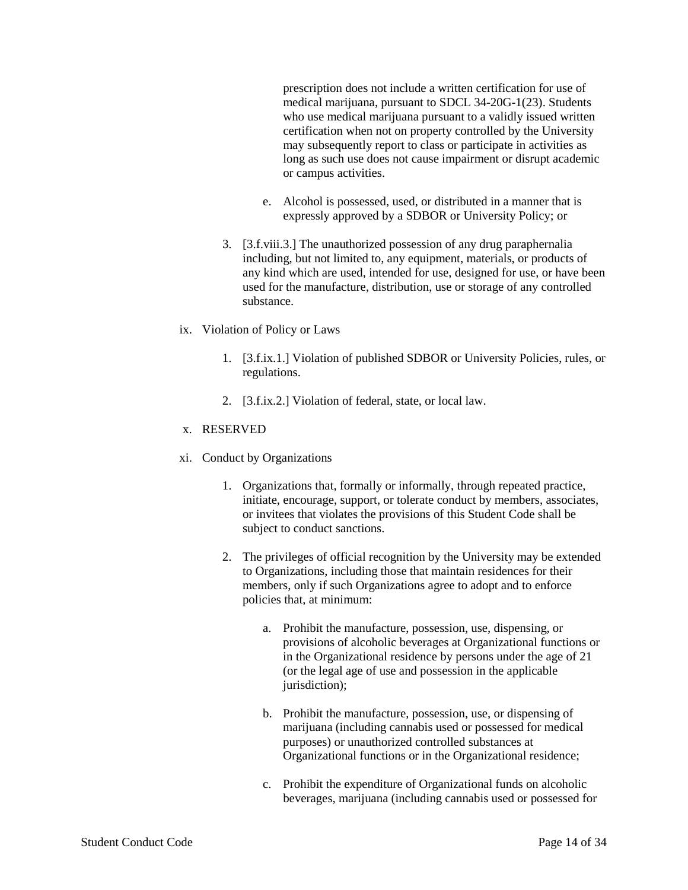prescription does not include a written certification for use of medical marijuana, pursuant to SDCL 34-20G-1(23). Students who use medical marijuana pursuant to a validly issued written certification when not on property controlled by the University may subsequently report to class or participate in activities as long as such use does not cause impairment or disrupt academic or campus activities.

- e. Alcohol is possessed, used, or distributed in a manner that is expressly approved by a SDBOR or University Policy; or
- 3. [3.f.viii.3.] The unauthorized possession of any drug paraphernalia including, but not limited to, any equipment, materials, or products of any kind which are used, intended for use, designed for use, or have been used for the manufacture, distribution, use or storage of any controlled substance.

#### ix. Violation of Policy or Laws

- 1. [3.f.ix.1.] Violation of published SDBOR or University Policies, rules, or regulations.
- 2. [3.f.ix.2.] Violation of federal, state, or local law.

# x. RESERVED

- xi. Conduct by Organizations
	- 1. Organizations that, formally or informally, through repeated practice, initiate, encourage, support, or tolerate conduct by members, associates, or invitees that violates the provisions of this Student Code shall be subject to conduct sanctions.
	- 2. The privileges of official recognition by the University may be extended to Organizations, including those that maintain residences for their members, only if such Organizations agree to adopt and to enforce policies that, at minimum:
		- a. Prohibit the manufacture, possession, use, dispensing, or provisions of alcoholic beverages at Organizational functions or in the Organizational residence by persons under the age of 21 (or the legal age of use and possession in the applicable jurisdiction);
		- b. Prohibit the manufacture, possession, use, or dispensing of marijuana (including cannabis used or possessed for medical purposes) or unauthorized controlled substances at Organizational functions or in the Organizational residence;
		- c. Prohibit the expenditure of Organizational funds on alcoholic beverages, marijuana (including cannabis used or possessed for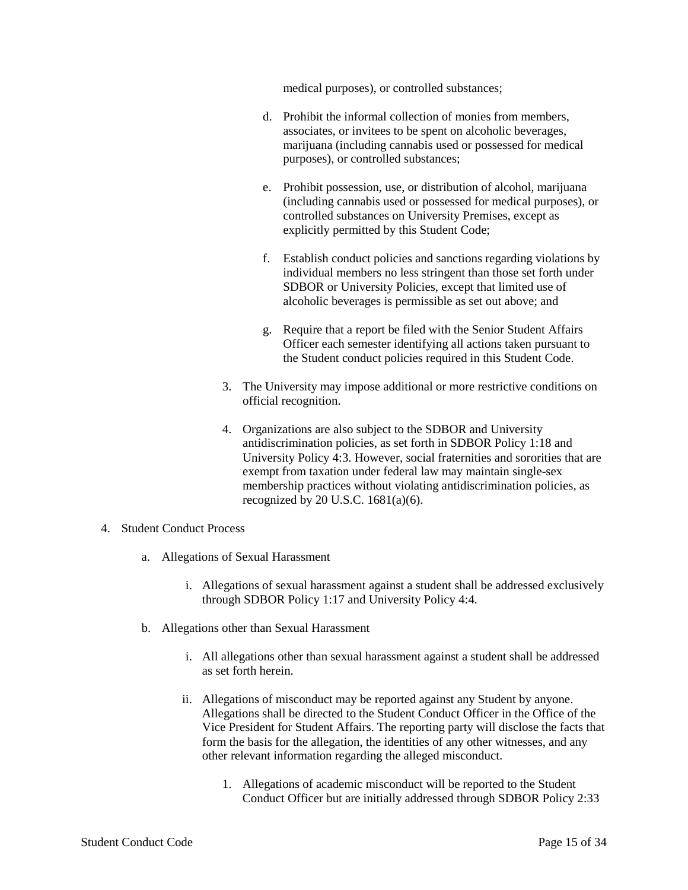medical purposes), or controlled substances;

- d. Prohibit the informal collection of monies from members, associates, or invitees to be spent on alcoholic beverages, marijuana (including cannabis used or possessed for medical purposes), or controlled substances;
- e. Prohibit possession, use, or distribution of alcohol, marijuana (including cannabis used or possessed for medical purposes), or controlled substances on University Premises, except as explicitly permitted by this Student Code;
- f. Establish conduct policies and sanctions regarding violations by individual members no less stringent than those set forth under SDBOR or University Policies, except that limited use of alcoholic beverages is permissible as set out above; and
- g. Require that a report be filed with the Senior Student Affairs Officer each semester identifying all actions taken pursuant to the Student conduct policies required in this Student Code.
- 3. The University may impose additional or more restrictive conditions on official recognition.
- 4. Organizations are also subject to the SDBOR and University antidiscrimination policies, as set forth in SDBOR Policy 1:18 and University Policy 4:3. However, social fraternities and sororities that are exempt from taxation under federal law may maintain single-sex membership practices without violating antidiscrimination policies, as recognized by 20 U.S.C.  $1681(a)(6)$ .
- 4. Student Conduct Process
	- a. Allegations of Sexual Harassment
		- i. Allegations of sexual harassment against a student shall be addressed exclusively through SDBOR Policy 1:17 and University Policy 4:4.
	- b. Allegations other than Sexual Harassment
		- i. All allegations other than sexual harassment against a student shall be addressed as set forth herein.
		- ii. Allegations of misconduct may be reported against any Student by anyone. Allegations shall be directed to the Student Conduct Officer in the Office of the Vice President for Student Affairs. The reporting party will disclose the facts that form the basis for the allegation, the identities of any other witnesses, and any other relevant information regarding the alleged misconduct.
			- 1. Allegations of academic misconduct will be reported to the Student Conduct Officer but are initially addressed through SDBOR Policy 2:33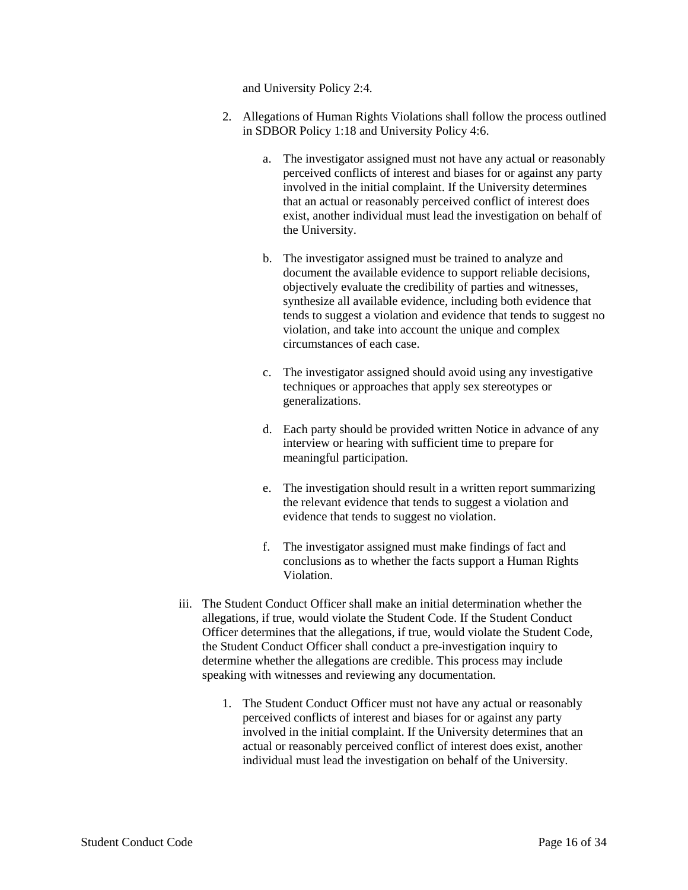and University Policy 2:4.

- 2. Allegations of Human Rights Violations shall follow the process outlined in SDBOR Policy 1:18 and University Policy 4:6.
	- a. The investigator assigned must not have any actual or reasonably perceived conflicts of interest and biases for or against any party involved in the initial complaint. If the University determines that an actual or reasonably perceived conflict of interest does exist, another individual must lead the investigation on behalf of the University.
	- b. The investigator assigned must be trained to analyze and document the available evidence to support reliable decisions, objectively evaluate the credibility of parties and witnesses, synthesize all available evidence, including both evidence that tends to suggest a violation and evidence that tends to suggest no violation, and take into account the unique and complex circumstances of each case.
	- c. The investigator assigned should avoid using any investigative techniques or approaches that apply sex stereotypes or generalizations.
	- d. Each party should be provided written Notice in advance of any interview or hearing with sufficient time to prepare for meaningful participation.
	- e. The investigation should result in a written report summarizing the relevant evidence that tends to suggest a violation and evidence that tends to suggest no violation.
	- f. The investigator assigned must make findings of fact and conclusions as to whether the facts support a Human Rights Violation.
- iii. The Student Conduct Officer shall make an initial determination whether the allegations, if true, would violate the Student Code. If the Student Conduct Officer determines that the allegations, if true, would violate the Student Code, the Student Conduct Officer shall conduct a pre-investigation inquiry to determine whether the allegations are credible. This process may include speaking with witnesses and reviewing any documentation.
	- 1. The Student Conduct Officer must not have any actual or reasonably perceived conflicts of interest and biases for or against any party involved in the initial complaint. If the University determines that an actual or reasonably perceived conflict of interest does exist, another individual must lead the investigation on behalf of the University.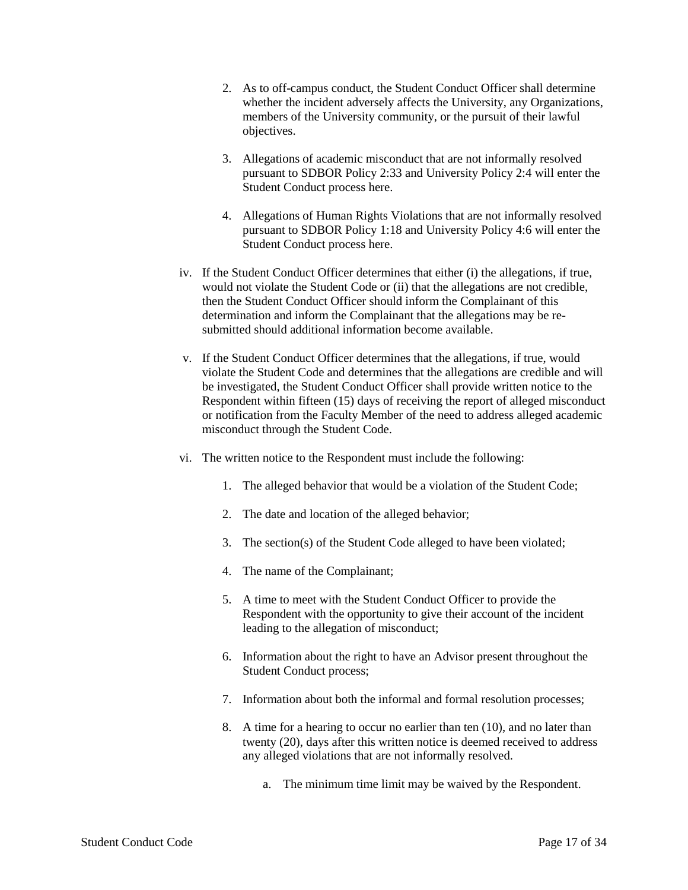- 2. As to off-campus conduct, the Student Conduct Officer shall determine whether the incident adversely affects the University, any Organizations, members of the University community, or the pursuit of their lawful objectives.
- 3. Allegations of academic misconduct that are not informally resolved pursuant to SDBOR Policy 2:33 and University Policy 2:4 will enter the Student Conduct process here.
- 4. Allegations of Human Rights Violations that are not informally resolved pursuant to SDBOR Policy 1:18 and University Policy 4:6 will enter the Student Conduct process here.
- iv. If the Student Conduct Officer determines that either (i) the allegations, if true, would not violate the Student Code or (ii) that the allegations are not credible, then the Student Conduct Officer should inform the Complainant of this determination and inform the Complainant that the allegations may be resubmitted should additional information become available.
- v. If the Student Conduct Officer determines that the allegations, if true, would violate the Student Code and determines that the allegations are credible and will be investigated, the Student Conduct Officer shall provide written notice to the Respondent within fifteen (15) days of receiving the report of alleged misconduct or notification from the Faculty Member of the need to address alleged academic misconduct through the Student Code.
- vi. The written notice to the Respondent must include the following:
	- 1. The alleged behavior that would be a violation of the Student Code;
	- 2. The date and location of the alleged behavior;
	- 3. The section(s) of the Student Code alleged to have been violated;
	- 4. The name of the Complainant;
	- 5. A time to meet with the Student Conduct Officer to provide the Respondent with the opportunity to give their account of the incident leading to the allegation of misconduct;
	- 6. Information about the right to have an Advisor present throughout the Student Conduct process;
	- 7. Information about both the informal and formal resolution processes;
	- 8. A time for a hearing to occur no earlier than ten (10), and no later than twenty (20), days after this written notice is deemed received to address any alleged violations that are not informally resolved.
		- a. The minimum time limit may be waived by the Respondent.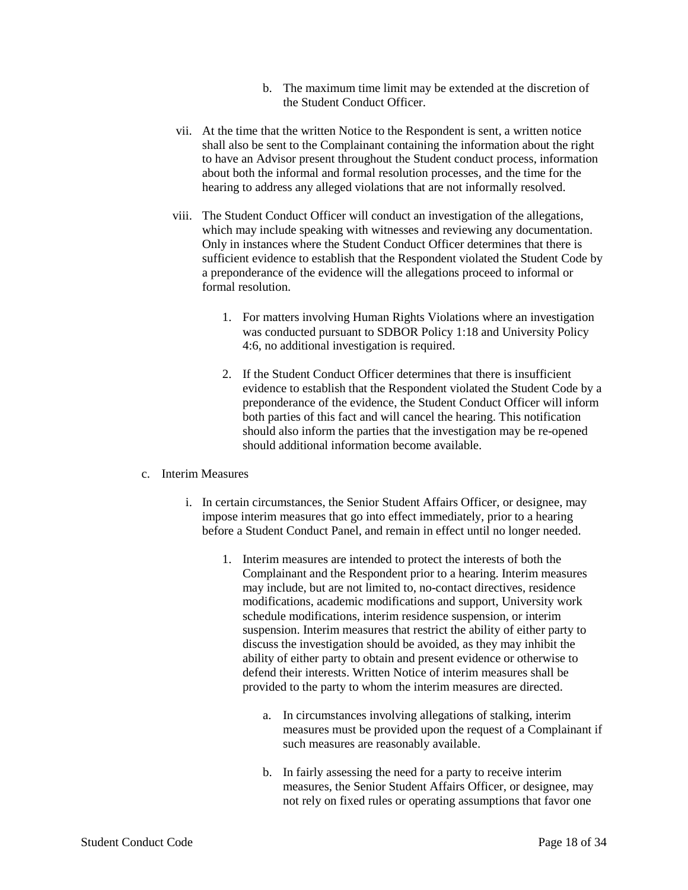- b. The maximum time limit may be extended at the discretion of the Student Conduct Officer.
- vii. At the time that the written Notice to the Respondent is sent, a written notice shall also be sent to the Complainant containing the information about the right to have an Advisor present throughout the Student conduct process, information about both the informal and formal resolution processes, and the time for the hearing to address any alleged violations that are not informally resolved.
- viii. The Student Conduct Officer will conduct an investigation of the allegations, which may include speaking with witnesses and reviewing any documentation. Only in instances where the Student Conduct Officer determines that there is sufficient evidence to establish that the Respondent violated the Student Code by a preponderance of the evidence will the allegations proceed to informal or formal resolution.
	- 1. For matters involving Human Rights Violations where an investigation was conducted pursuant to SDBOR Policy 1:18 and University Policy 4:6, no additional investigation is required.
	- 2. If the Student Conduct Officer determines that there is insufficient evidence to establish that the Respondent violated the Student Code by a preponderance of the evidence, the Student Conduct Officer will inform both parties of this fact and will cancel the hearing. This notification should also inform the parties that the investigation may be re-opened should additional information become available.

## c. Interim Measures

- i. In certain circumstances, the Senior Student Affairs Officer, or designee, may impose interim measures that go into effect immediately, prior to a hearing before a Student Conduct Panel, and remain in effect until no longer needed.
	- 1. Interim measures are intended to protect the interests of both the Complainant and the Respondent prior to a hearing. Interim measures may include, but are not limited to, no-contact directives, residence modifications, academic modifications and support, University work schedule modifications, interim residence suspension, or interim suspension. Interim measures that restrict the ability of either party to discuss the investigation should be avoided, as they may inhibit the ability of either party to obtain and present evidence or otherwise to defend their interests. Written Notice of interim measures shall be provided to the party to whom the interim measures are directed.
		- a. In circumstances involving allegations of stalking, interim measures must be provided upon the request of a Complainant if such measures are reasonably available.
		- b. In fairly assessing the need for a party to receive interim measures, the Senior Student Affairs Officer, or designee, may not rely on fixed rules or operating assumptions that favor one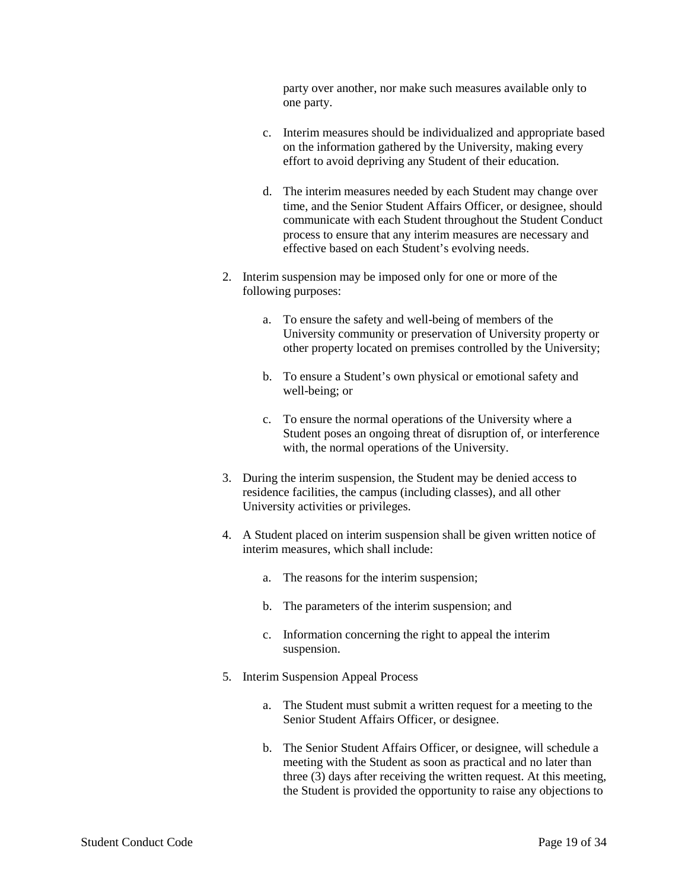party over another, nor make such measures available only to one party.

- c. Interim measures should be individualized and appropriate based on the information gathered by the University, making every effort to avoid depriving any Student of their education.
- d. The interim measures needed by each Student may change over time, and the Senior Student Affairs Officer, or designee, should communicate with each Student throughout the Student Conduct process to ensure that any interim measures are necessary and effective based on each Student's evolving needs.
- 2. Interim suspension may be imposed only for one or more of the following purposes:
	- a. To ensure the safety and well-being of members of the University community or preservation of University property or other property located on premises controlled by the University;
	- b. To ensure a Student's own physical or emotional safety and well-being; or
	- c. To ensure the normal operations of the University where a Student poses an ongoing threat of disruption of, or interference with, the normal operations of the University.
- 3. During the interim suspension, the Student may be denied access to residence facilities, the campus (including classes), and all other University activities or privileges.
- 4. A Student placed on interim suspension shall be given written notice of interim measures, which shall include:
	- a. The reasons for the interim suspension;
	- b. The parameters of the interim suspension; and
	- c. Information concerning the right to appeal the interim suspension.
- 5. Interim Suspension Appeal Process
	- a. The Student must submit a written request for a meeting to the Senior Student Affairs Officer, or designee.
	- b. The Senior Student Affairs Officer, or designee, will schedule a meeting with the Student as soon as practical and no later than three (3) days after receiving the written request. At this meeting, the Student is provided the opportunity to raise any objections to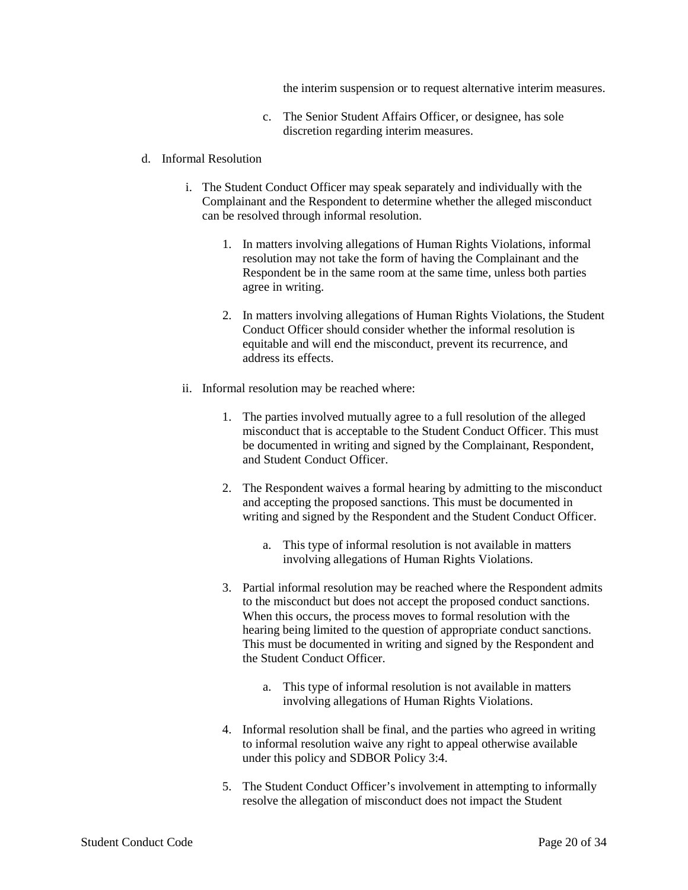the interim suspension or to request alternative interim measures.

- c. The Senior Student Affairs Officer, or designee, has sole discretion regarding interim measures.
- d. Informal Resolution
	- i. The Student Conduct Officer may speak separately and individually with the Complainant and the Respondent to determine whether the alleged misconduct can be resolved through informal resolution.
		- 1. In matters involving allegations of Human Rights Violations, informal resolution may not take the form of having the Complainant and the Respondent be in the same room at the same time, unless both parties agree in writing.
		- 2. In matters involving allegations of Human Rights Violations, the Student Conduct Officer should consider whether the informal resolution is equitable and will end the misconduct, prevent its recurrence, and address its effects.
	- ii. Informal resolution may be reached where:
		- 1. The parties involved mutually agree to a full resolution of the alleged misconduct that is acceptable to the Student Conduct Officer. This must be documented in writing and signed by the Complainant, Respondent, and Student Conduct Officer.
		- 2. The Respondent waives a formal hearing by admitting to the misconduct and accepting the proposed sanctions. This must be documented in writing and signed by the Respondent and the Student Conduct Officer.
			- a. This type of informal resolution is not available in matters involving allegations of Human Rights Violations.
		- 3. Partial informal resolution may be reached where the Respondent admits to the misconduct but does not accept the proposed conduct sanctions. When this occurs, the process moves to formal resolution with the hearing being limited to the question of appropriate conduct sanctions. This must be documented in writing and signed by the Respondent and the Student Conduct Officer.
			- a. This type of informal resolution is not available in matters involving allegations of Human Rights Violations.
		- 4. Informal resolution shall be final, and the parties who agreed in writing to informal resolution waive any right to appeal otherwise available under this policy and SDBOR Policy 3:4.
		- 5. The Student Conduct Officer's involvement in attempting to informally resolve the allegation of misconduct does not impact the Student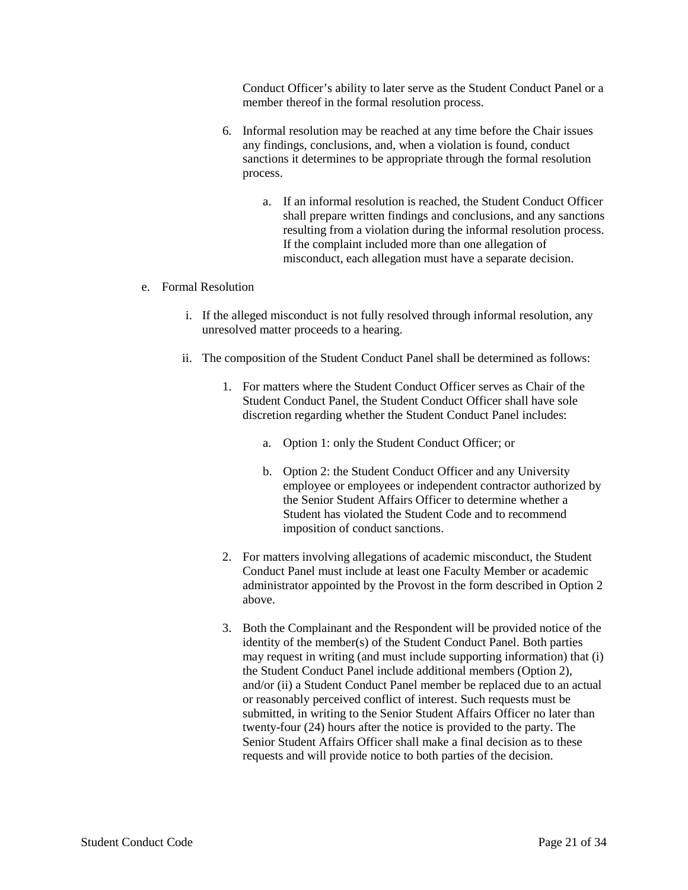Conduct Officer's ability to later serve as the Student Conduct Panel or a member thereof in the formal resolution process.

- 6. Informal resolution may be reached at any time before the Chair issues any findings, conclusions, and, when a violation is found, conduct sanctions it determines to be appropriate through the formal resolution process.
	- a. If an informal resolution is reached, the Student Conduct Officer shall prepare written findings and conclusions, and any sanctions resulting from a violation during the informal resolution process. If the complaint included more than one allegation of misconduct, each allegation must have a separate decision.

#### e. Formal Resolution

- i. If the alleged misconduct is not fully resolved through informal resolution, any unresolved matter proceeds to a hearing.
- ii. The composition of the Student Conduct Panel shall be determined as follows:
	- 1. For matters where the Student Conduct Officer serves as Chair of the Student Conduct Panel, the Student Conduct Officer shall have sole discretion regarding whether the Student Conduct Panel includes:
		- a. Option 1: only the Student Conduct Officer; or
		- b. Option 2: the Student Conduct Officer and any University employee or employees or independent contractor authorized by the Senior Student Affairs Officer to determine whether a Student has violated the Student Code and to recommend imposition of conduct sanctions.
	- 2. For matters involving allegations of academic misconduct, the Student Conduct Panel must include at least one Faculty Member or academic administrator appointed by the Provost in the form described in Option 2 above.
	- 3. Both the Complainant and the Respondent will be provided notice of the identity of the member(s) of the Student Conduct Panel. Both parties may request in writing (and must include supporting information) that (i) the Student Conduct Panel include additional members (Option 2), and/or (ii) a Student Conduct Panel member be replaced due to an actual or reasonably perceived conflict of interest. Such requests must be submitted, in writing to the Senior Student Affairs Officer no later than twenty-four (24) hours after the notice is provided to the party. The Senior Student Affairs Officer shall make a final decision as to these requests and will provide notice to both parties of the decision.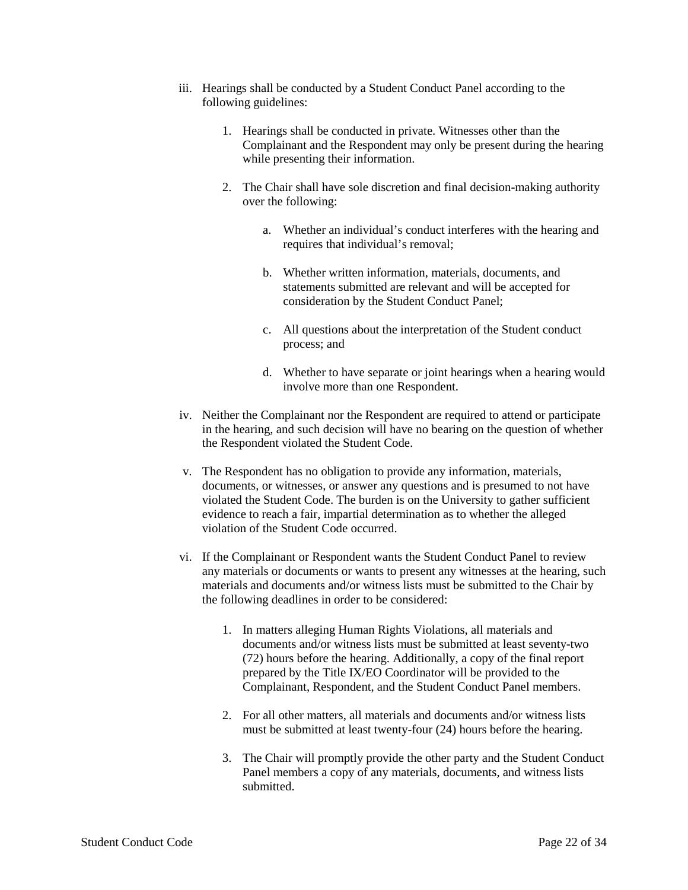- iii. Hearings shall be conducted by a Student Conduct Panel according to the following guidelines:
	- 1. Hearings shall be conducted in private. Witnesses other than the Complainant and the Respondent may only be present during the hearing while presenting their information.
	- 2. The Chair shall have sole discretion and final decision-making authority over the following:
		- a. Whether an individual's conduct interferes with the hearing and requires that individual's removal;
		- b. Whether written information, materials, documents, and statements submitted are relevant and will be accepted for consideration by the Student Conduct Panel;
		- c. All questions about the interpretation of the Student conduct process; and
		- d. Whether to have separate or joint hearings when a hearing would involve more than one Respondent.
- iv. Neither the Complainant nor the Respondent are required to attend or participate in the hearing, and such decision will have no bearing on the question of whether the Respondent violated the Student Code.
- v. The Respondent has no obligation to provide any information, materials, documents, or witnesses, or answer any questions and is presumed to not have violated the Student Code. The burden is on the University to gather sufficient evidence to reach a fair, impartial determination as to whether the alleged violation of the Student Code occurred.
- vi. If the Complainant or Respondent wants the Student Conduct Panel to review any materials or documents or wants to present any witnesses at the hearing, such materials and documents and/or witness lists must be submitted to the Chair by the following deadlines in order to be considered:
	- 1. In matters alleging Human Rights Violations, all materials and documents and/or witness lists must be submitted at least seventy-two (72) hours before the hearing. Additionally, a copy of the final report prepared by the Title IX/EO Coordinator will be provided to the Complainant, Respondent, and the Student Conduct Panel members.
	- 2. For all other matters, all materials and documents and/or witness lists must be submitted at least twenty-four (24) hours before the hearing.
	- 3. The Chair will promptly provide the other party and the Student Conduct Panel members a copy of any materials, documents, and witness lists submitted.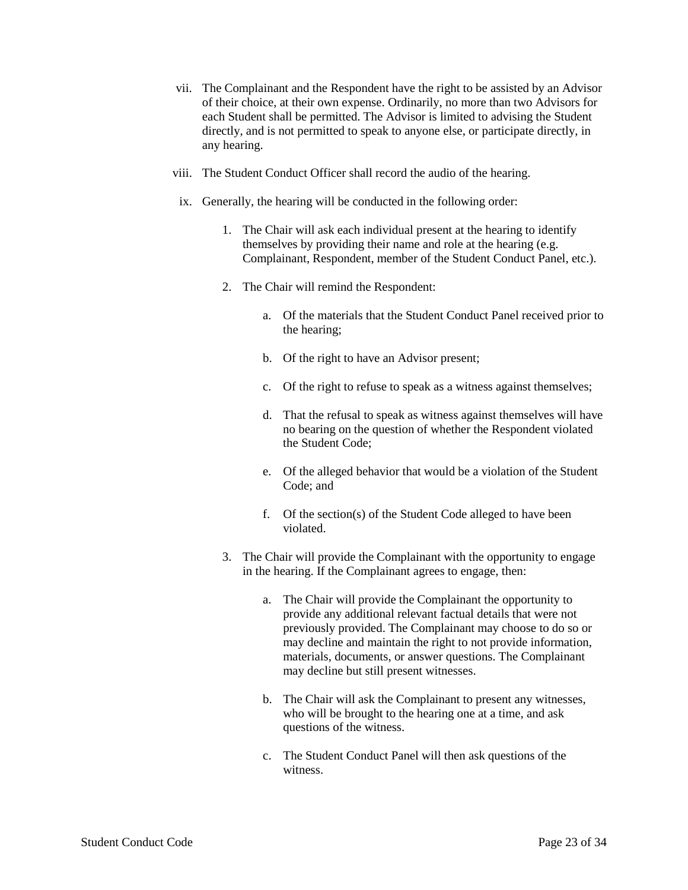- vii. The Complainant and the Respondent have the right to be assisted by an Advisor of their choice, at their own expense. Ordinarily, no more than two Advisors for each Student shall be permitted. The Advisor is limited to advising the Student directly, and is not permitted to speak to anyone else, or participate directly, in any hearing.
- viii. The Student Conduct Officer shall record the audio of the hearing.
- ix. Generally, the hearing will be conducted in the following order:
	- 1. The Chair will ask each individual present at the hearing to identify themselves by providing their name and role at the hearing (e.g. Complainant, Respondent, member of the Student Conduct Panel, etc.).
	- 2. The Chair will remind the Respondent:
		- a. Of the materials that the Student Conduct Panel received prior to the hearing;
		- b. Of the right to have an Advisor present;
		- c. Of the right to refuse to speak as a witness against themselves;
		- d. That the refusal to speak as witness against themselves will have no bearing on the question of whether the Respondent violated the Student Code;
		- e. Of the alleged behavior that would be a violation of the Student Code; and
		- f. Of the section(s) of the Student Code alleged to have been violated.
	- 3. The Chair will provide the Complainant with the opportunity to engage in the hearing. If the Complainant agrees to engage, then:
		- a. The Chair will provide the Complainant the opportunity to provide any additional relevant factual details that were not previously provided. The Complainant may choose to do so or may decline and maintain the right to not provide information, materials, documents, or answer questions. The Complainant may decline but still present witnesses.
		- b. The Chair will ask the Complainant to present any witnesses, who will be brought to the hearing one at a time, and ask questions of the witness.
		- c. The Student Conduct Panel will then ask questions of the witness.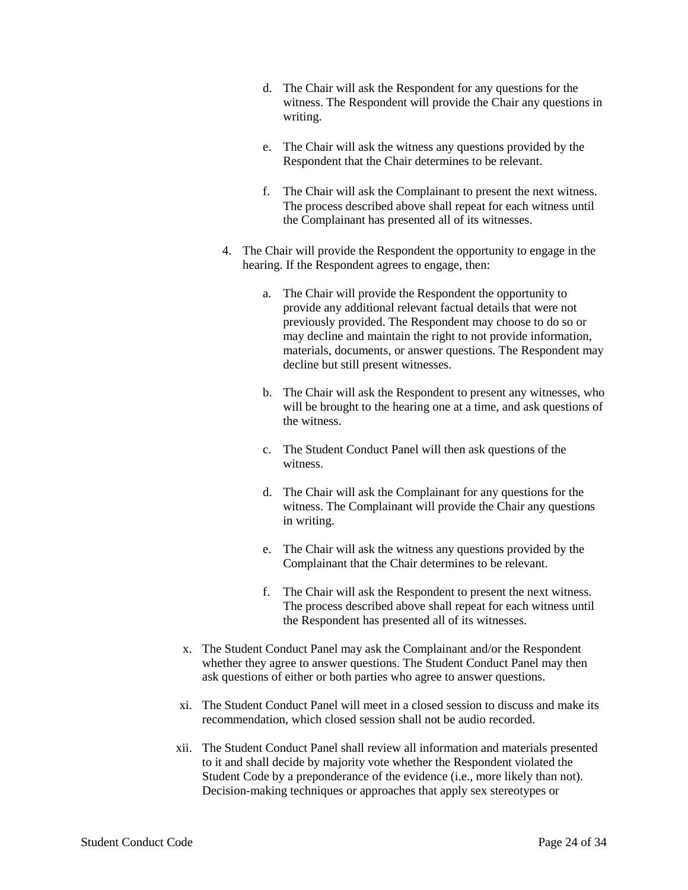- d. The Chair will ask the Respondent for any questions for the witness. The Respondent will provide the Chair any questions in writing.
- e. The Chair will ask the witness any questions provided by the Respondent that the Chair determines to be relevant.
- f. The Chair will ask the Complainant to present the next witness. The process described above shall repeat for each witness until the Complainant has presented all of its witnesses.
- 4. The Chair will provide the Respondent the opportunity to engage in the hearing. If the Respondent agrees to engage, then:
	- a. The Chair will provide the Respondent the opportunity to provide any additional relevant factual details that were not previously provided. The Respondent may choose to do so or may decline and maintain the right to not provide information, materials, documents, or answer questions. The Respondent may decline but still present witnesses.
	- b. The Chair will ask the Respondent to present any witnesses, who will be brought to the hearing one at a time, and ask questions of the witness.
	- c. The Student Conduct Panel will then ask questions of the witness.
	- d. The Chair will ask the Complainant for any questions for the witness. The Complainant will provide the Chair any questions in writing.
	- e. The Chair will ask the witness any questions provided by the Complainant that the Chair determines to be relevant.
	- f. The Chair will ask the Respondent to present the next witness. The process described above shall repeat for each witness until the Respondent has presented all of its witnesses.
- x. The Student Conduct Panel may ask the Complainant and/or the Respondent whether they agree to answer questions. The Student Conduct Panel may then ask questions of either or both parties who agree to answer questions.
- xi. The Student Conduct Panel will meet in a closed session to discuss and make its recommendation, which closed session shall not be audio recorded.
- xii. The Student Conduct Panel shall review all information and materials presented to it and shall decide by majority vote whether the Respondent violated the Student Code by a preponderance of the evidence (i.e., more likely than not). Decision-making techniques or approaches that apply sex stereotypes or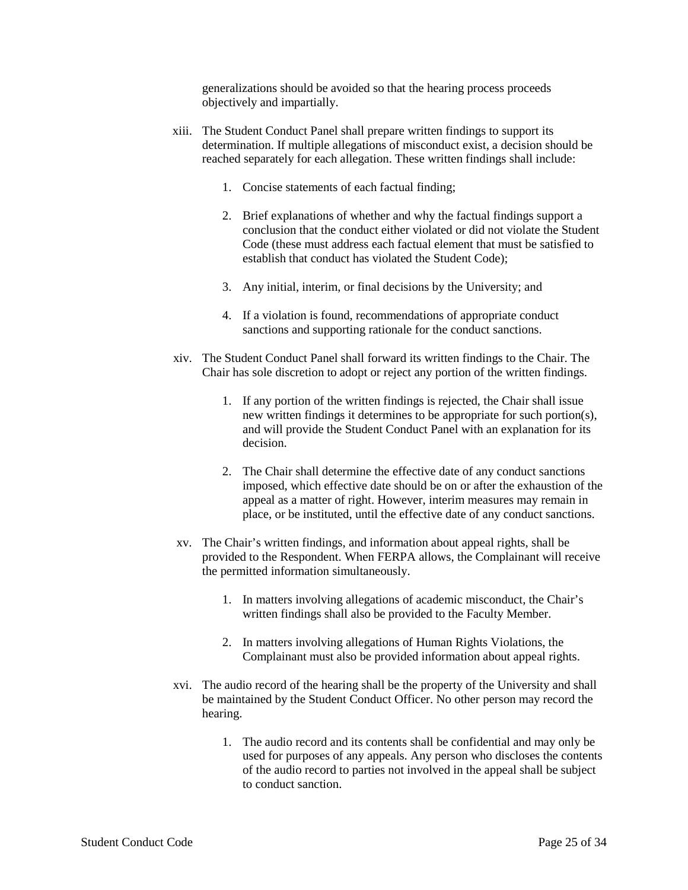generalizations should be avoided so that the hearing process proceeds objectively and impartially.

- xiii. The Student Conduct Panel shall prepare written findings to support its determination. If multiple allegations of misconduct exist, a decision should be reached separately for each allegation. These written findings shall include:
	- 1. Concise statements of each factual finding;
	- 2. Brief explanations of whether and why the factual findings support a conclusion that the conduct either violated or did not violate the Student Code (these must address each factual element that must be satisfied to establish that conduct has violated the Student Code);
	- 3. Any initial, interim, or final decisions by the University; and
	- 4. If a violation is found, recommendations of appropriate conduct sanctions and supporting rationale for the conduct sanctions.
- xiv. The Student Conduct Panel shall forward its written findings to the Chair. The Chair has sole discretion to adopt or reject any portion of the written findings.
	- 1. If any portion of the written findings is rejected, the Chair shall issue new written findings it determines to be appropriate for such portion(s), and will provide the Student Conduct Panel with an explanation for its decision.
	- 2. The Chair shall determine the effective date of any conduct sanctions imposed, which effective date should be on or after the exhaustion of the appeal as a matter of right. However, interim measures may remain in place, or be instituted, until the effective date of any conduct sanctions.
- xv. The Chair's written findings, and information about appeal rights, shall be provided to the Respondent. When FERPA allows, the Complainant will receive the permitted information simultaneously.
	- 1. In matters involving allegations of academic misconduct, the Chair's written findings shall also be provided to the Faculty Member.
	- 2. In matters involving allegations of Human Rights Violations, the Complainant must also be provided information about appeal rights.
- xvi. The audio record of the hearing shall be the property of the University and shall be maintained by the Student Conduct Officer. No other person may record the hearing.
	- 1. The audio record and its contents shall be confidential and may only be used for purposes of any appeals. Any person who discloses the contents of the audio record to parties not involved in the appeal shall be subject to conduct sanction.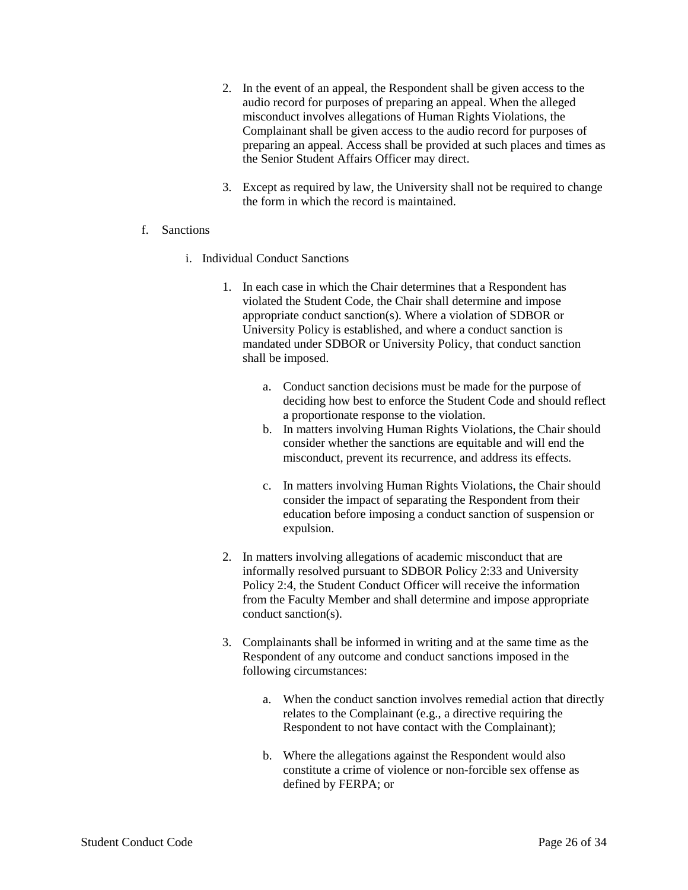- 2. In the event of an appeal, the Respondent shall be given access to the audio record for purposes of preparing an appeal. When the alleged misconduct involves allegations of Human Rights Violations, the Complainant shall be given access to the audio record for purposes of preparing an appeal. Access shall be provided at such places and times as the Senior Student Affairs Officer may direct.
- 3. Except as required by law, the University shall not be required to change the form in which the record is maintained.
- f. Sanctions
	- i. Individual Conduct Sanctions
		- 1. In each case in which the Chair determines that a Respondent has violated the Student Code, the Chair shall determine and impose appropriate conduct sanction(s). Where a violation of SDBOR or University Policy is established, and where a conduct sanction is mandated under SDBOR or University Policy, that conduct sanction shall be imposed.
			- a. Conduct sanction decisions must be made for the purpose of deciding how best to enforce the Student Code and should reflect a proportionate response to the violation.
			- b. In matters involving Human Rights Violations, the Chair should consider whether the sanctions are equitable and will end the misconduct, prevent its recurrence, and address its effects.
			- c. In matters involving Human Rights Violations, the Chair should consider the impact of separating the Respondent from their education before imposing a conduct sanction of suspension or expulsion.
		- 2. In matters involving allegations of academic misconduct that are informally resolved pursuant to SDBOR Policy 2:33 and University Policy 2:4, the Student Conduct Officer will receive the information from the Faculty Member and shall determine and impose appropriate conduct sanction(s).
		- 3. Complainants shall be informed in writing and at the same time as the Respondent of any outcome and conduct sanctions imposed in the following circumstances:
			- a. When the conduct sanction involves remedial action that directly relates to the Complainant (e.g., a directive requiring the Respondent to not have contact with the Complainant);
			- b. Where the allegations against the Respondent would also constitute a crime of violence or non-forcible sex offense as defined by FERPA; or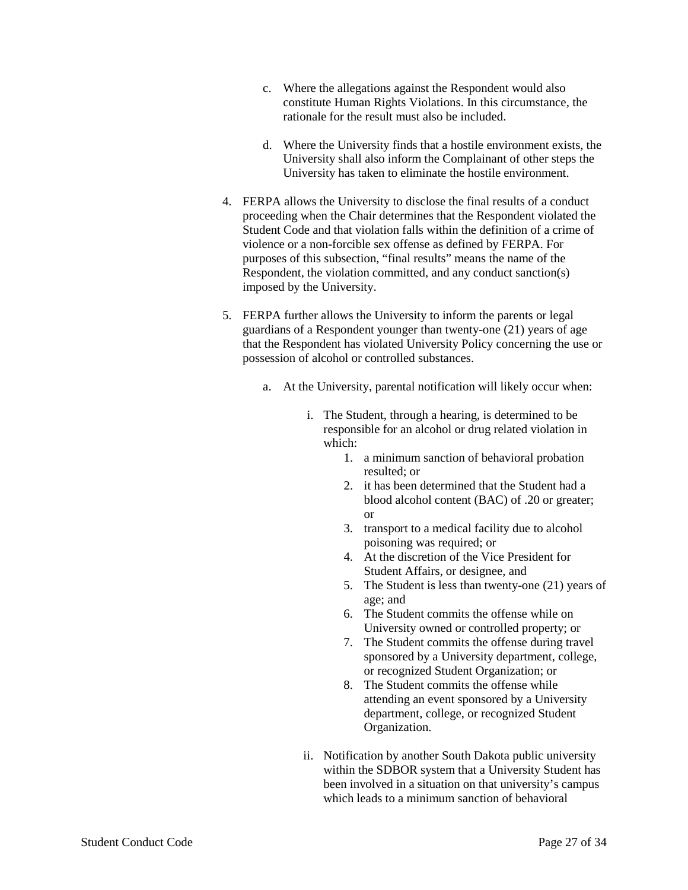- c. Where the allegations against the Respondent would also constitute Human Rights Violations. In this circumstance, the rationale for the result must also be included.
- d. Where the University finds that a hostile environment exists, the University shall also inform the Complainant of other steps the University has taken to eliminate the hostile environment.
- 4. FERPA allows the University to disclose the final results of a conduct proceeding when the Chair determines that the Respondent violated the Student Code and that violation falls within the definition of a crime of violence or a non-forcible sex offense as defined by FERPA. For purposes of this subsection, "final results" means the name of the Respondent, the violation committed, and any conduct sanction(s) imposed by the University.
- 5. FERPA further allows the University to inform the parents or legal guardians of a Respondent younger than twenty-one (21) years of age that the Respondent has violated University Policy concerning the use or possession of alcohol or controlled substances.
	- a. At the University, parental notification will likely occur when:
		- i. The Student, through a hearing, is determined to be responsible for an alcohol or drug related violation in which:
			- 1. a minimum sanction of behavioral probation resulted; or
			- 2. it has been determined that the Student had a blood alcohol content (BAC) of .20 or greater; or
			- 3. transport to a medical facility due to alcohol poisoning was required; or
			- 4. At the discretion of the Vice President for Student Affairs, or designee, and
			- 5. The Student is less than twenty-one (21) years of age; and
			- 6. The Student commits the offense while on University owned or controlled property; or
			- 7. The Student commits the offense during travel sponsored by a University department, college, or recognized Student Organization; or
			- 8. The Student commits the offense while attending an event sponsored by a University department, college, or recognized Student Organization.
		- ii. Notification by another South Dakota public university within the SDBOR system that a University Student has been involved in a situation on that university's campus which leads to a minimum sanction of behavioral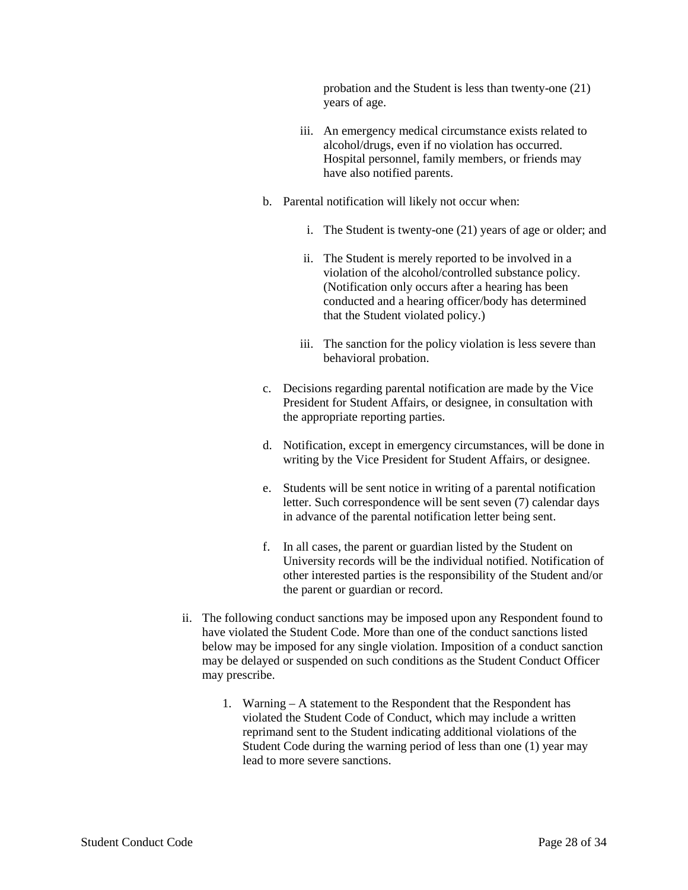probation and the Student is less than twenty-one (21) years of age.

- iii. An emergency medical circumstance exists related to alcohol/drugs, even if no violation has occurred. Hospital personnel, family members, or friends may have also notified parents.
- b. Parental notification will likely not occur when:
	- i. The Student is twenty-one (21) years of age or older; and
	- ii. The Student is merely reported to be involved in a violation of the alcohol/controlled substance policy. (Notification only occurs after a hearing has been conducted and a hearing officer/body has determined that the Student violated policy.)
	- iii. The sanction for the policy violation is less severe than behavioral probation.
- c. Decisions regarding parental notification are made by the Vice President for Student Affairs, or designee, in consultation with the appropriate reporting parties.
- d. Notification, except in emergency circumstances, will be done in writing by the Vice President for Student Affairs, or designee.
- e. Students will be sent notice in writing of a parental notification letter. Such correspondence will be sent seven (7) calendar days in advance of the parental notification letter being sent.
- f. In all cases, the parent or guardian listed by the Student on University records will be the individual notified. Notification of other interested parties is the responsibility of the Student and/or the parent or guardian or record.
- ii. The following conduct sanctions may be imposed upon any Respondent found to have violated the Student Code. More than one of the conduct sanctions listed below may be imposed for any single violation. Imposition of a conduct sanction may be delayed or suspended on such conditions as the Student Conduct Officer may prescribe.
	- 1. Warning A statement to the Respondent that the Respondent has violated the Student Code of Conduct, which may include a written reprimand sent to the Student indicating additional violations of the Student Code during the warning period of less than one (1) year may lead to more severe sanctions.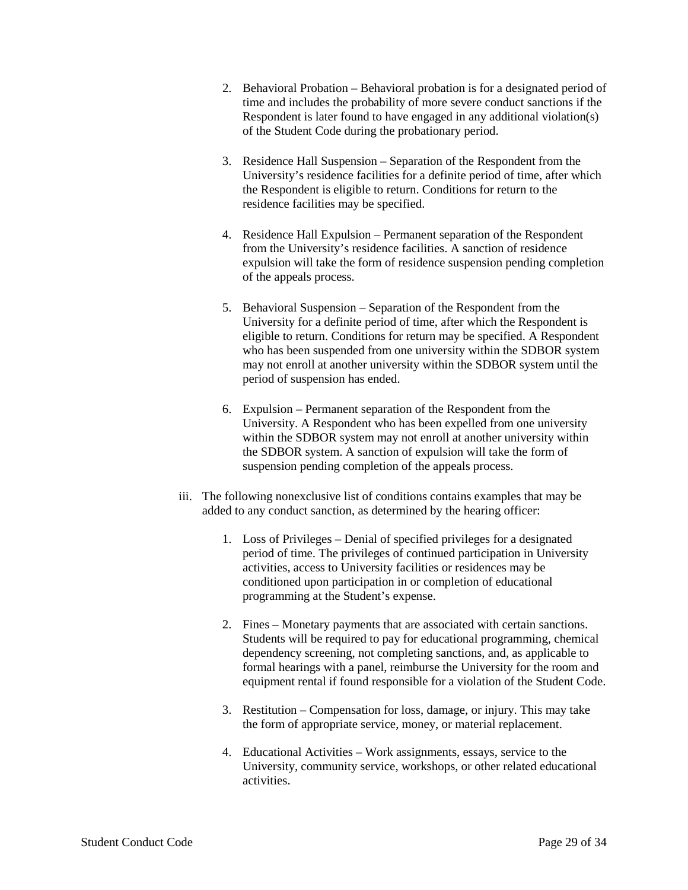- 2. Behavioral Probation Behavioral probation is for a designated period of time and includes the probability of more severe conduct sanctions if the Respondent is later found to have engaged in any additional violation(s) of the Student Code during the probationary period.
- 3. Residence Hall Suspension Separation of the Respondent from the University's residence facilities for a definite period of time, after which the Respondent is eligible to return. Conditions for return to the residence facilities may be specified.
- 4. Residence Hall Expulsion Permanent separation of the Respondent from the University's residence facilities. A sanction of residence expulsion will take the form of residence suspension pending completion of the appeals process.
- 5. Behavioral Suspension Separation of the Respondent from the University for a definite period of time, after which the Respondent is eligible to return. Conditions for return may be specified. A Respondent who has been suspended from one university within the SDBOR system may not enroll at another university within the SDBOR system until the period of suspension has ended.
- 6. Expulsion Permanent separation of the Respondent from the University. A Respondent who has been expelled from one university within the SDBOR system may not enroll at another university within the SDBOR system. A sanction of expulsion will take the form of suspension pending completion of the appeals process.
- iii. The following nonexclusive list of conditions contains examples that may be added to any conduct sanction, as determined by the hearing officer:
	- 1. Loss of Privileges Denial of specified privileges for a designated period of time. The privileges of continued participation in University activities, access to University facilities or residences may be conditioned upon participation in or completion of educational programming at the Student's expense.
	- 2. Fines Monetary payments that are associated with certain sanctions. Students will be required to pay for educational programming, chemical dependency screening, not completing sanctions, and, as applicable to formal hearings with a panel, reimburse the University for the room and equipment rental if found responsible for a violation of the Student Code.
	- 3. Restitution Compensation for loss, damage, or injury. This may take the form of appropriate service, money, or material replacement.
	- 4. Educational Activities Work assignments, essays, service to the University, community service, workshops, or other related educational activities.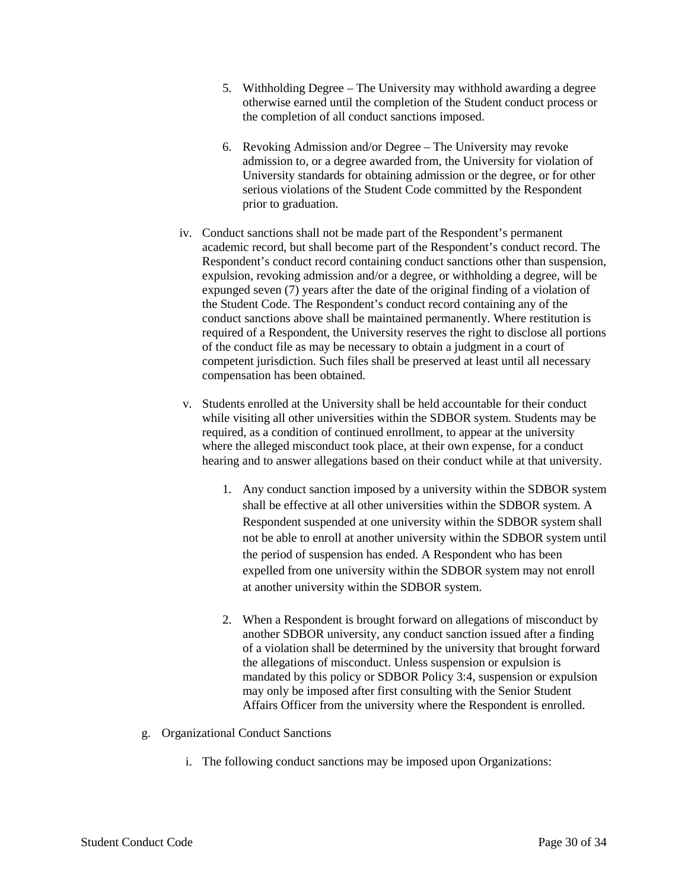- 5. Withholding Degree The University may withhold awarding a degree otherwise earned until the completion of the Student conduct process or the completion of all conduct sanctions imposed.
- 6. Revoking Admission and/or Degree The University may revoke admission to, or a degree awarded from, the University for violation of University standards for obtaining admission or the degree, or for other serious violations of the Student Code committed by the Respondent prior to graduation.
- iv. Conduct sanctions shall not be made part of the Respondent's permanent academic record, but shall become part of the Respondent's conduct record. The Respondent's conduct record containing conduct sanctions other than suspension, expulsion, revoking admission and/or a degree, or withholding a degree, will be expunged seven (7) years after the date of the original finding of a violation of the Student Code. The Respondent's conduct record containing any of the conduct sanctions above shall be maintained permanently. Where restitution is required of a Respondent, the University reserves the right to disclose all portions of the conduct file as may be necessary to obtain a judgment in a court of competent jurisdiction. Such files shall be preserved at least until all necessary compensation has been obtained.
- v. Students enrolled at the University shall be held accountable for their conduct while visiting all other universities within the SDBOR system. Students may be required, as a condition of continued enrollment, to appear at the university where the alleged misconduct took place, at their own expense, for a conduct hearing and to answer allegations based on their conduct while at that university.
	- 1. Any conduct sanction imposed by a university within the SDBOR system shall be effective at all other universities within the SDBOR system. A Respondent suspended at one university within the SDBOR system shall not be able to enroll at another university within the SDBOR system until the period of suspension has ended. A Respondent who has been expelled from one university within the SDBOR system may not enroll at another university within the SDBOR system.
	- 2. When a Respondent is brought forward on allegations of misconduct by another SDBOR university, any conduct sanction issued after a finding of a violation shall be determined by the university that brought forward the allegations of misconduct. Unless suspension or expulsion is mandated by this policy or SDBOR Policy 3:4, suspension or expulsion may only be imposed after first consulting with the Senior Student Affairs Officer from the university where the Respondent is enrolled.
- g. Organizational Conduct Sanctions
	- i. The following conduct sanctions may be imposed upon Organizations: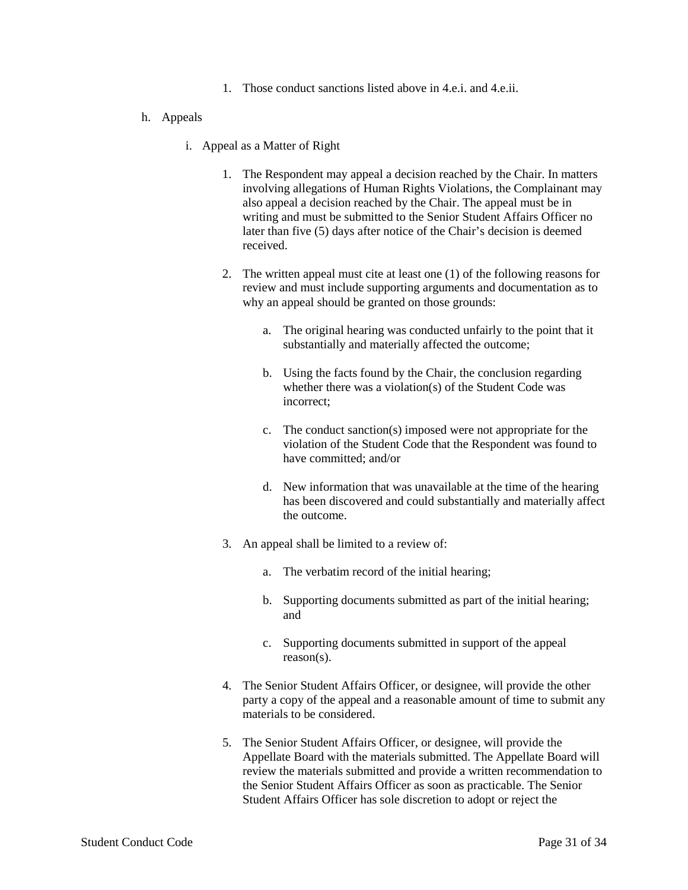1. Those conduct sanctions listed above in 4.e.i. and 4.e.ii.

#### h. Appeals

- i. Appeal as a Matter of Right
	- 1. The Respondent may appeal a decision reached by the Chair. In matters involving allegations of Human Rights Violations, the Complainant may also appeal a decision reached by the Chair. The appeal must be in writing and must be submitted to the Senior Student Affairs Officer no later than five (5) days after notice of the Chair's decision is deemed received.
	- 2. The written appeal must cite at least one (1) of the following reasons for review and must include supporting arguments and documentation as to why an appeal should be granted on those grounds:
		- a. The original hearing was conducted unfairly to the point that it substantially and materially affected the outcome;
		- b. Using the facts found by the Chair, the conclusion regarding whether there was a violation(s) of the Student Code was incorrect;
		- c. The conduct sanction(s) imposed were not appropriate for the violation of the Student Code that the Respondent was found to have committed; and/or
		- d. New information that was unavailable at the time of the hearing has been discovered and could substantially and materially affect the outcome.
	- 3. An appeal shall be limited to a review of:
		- a. The verbatim record of the initial hearing;
		- b. Supporting documents submitted as part of the initial hearing; and
		- c. Supporting documents submitted in support of the appeal reason(s).
	- 4. The Senior Student Affairs Officer, or designee, will provide the other party a copy of the appeal and a reasonable amount of time to submit any materials to be considered.
	- 5. The Senior Student Affairs Officer, or designee, will provide the Appellate Board with the materials submitted. The Appellate Board will review the materials submitted and provide a written recommendation to the Senior Student Affairs Officer as soon as practicable. The Senior Student Affairs Officer has sole discretion to adopt or reject the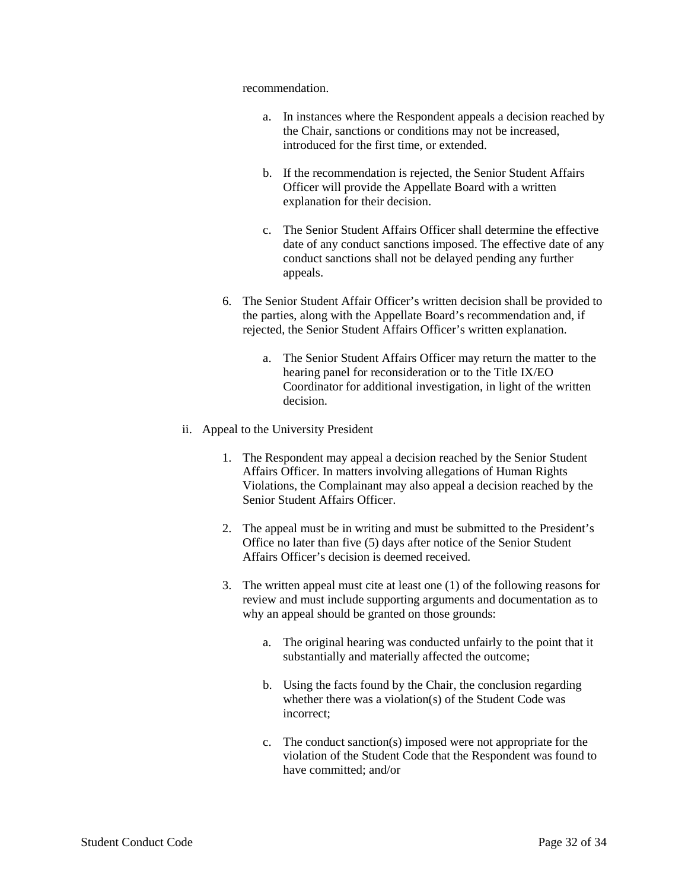recommendation.

- a. In instances where the Respondent appeals a decision reached by the Chair, sanctions or conditions may not be increased, introduced for the first time, or extended.
- b. If the recommendation is rejected, the Senior Student Affairs Officer will provide the Appellate Board with a written explanation for their decision.
- c. The Senior Student Affairs Officer shall determine the effective date of any conduct sanctions imposed. The effective date of any conduct sanctions shall not be delayed pending any further appeals.
- 6. The Senior Student Affair Officer's written decision shall be provided to the parties, along with the Appellate Board's recommendation and, if rejected, the Senior Student Affairs Officer's written explanation.
	- a. The Senior Student Affairs Officer may return the matter to the hearing panel for reconsideration or to the Title IX/EO Coordinator for additional investigation, in light of the written decision.
- ii. Appeal to the University President
	- 1. The Respondent may appeal a decision reached by the Senior Student Affairs Officer. In matters involving allegations of Human Rights Violations, the Complainant may also appeal a decision reached by the Senior Student Affairs Officer.
	- 2. The appeal must be in writing and must be submitted to the President's Office no later than five (5) days after notice of the Senior Student Affairs Officer's decision is deemed received.
	- 3. The written appeal must cite at least one (1) of the following reasons for review and must include supporting arguments and documentation as to why an appeal should be granted on those grounds:
		- a. The original hearing was conducted unfairly to the point that it substantially and materially affected the outcome;
		- b. Using the facts found by the Chair, the conclusion regarding whether there was a violation(s) of the Student Code was incorrect;
		- c. The conduct sanction(s) imposed were not appropriate for the violation of the Student Code that the Respondent was found to have committed; and/or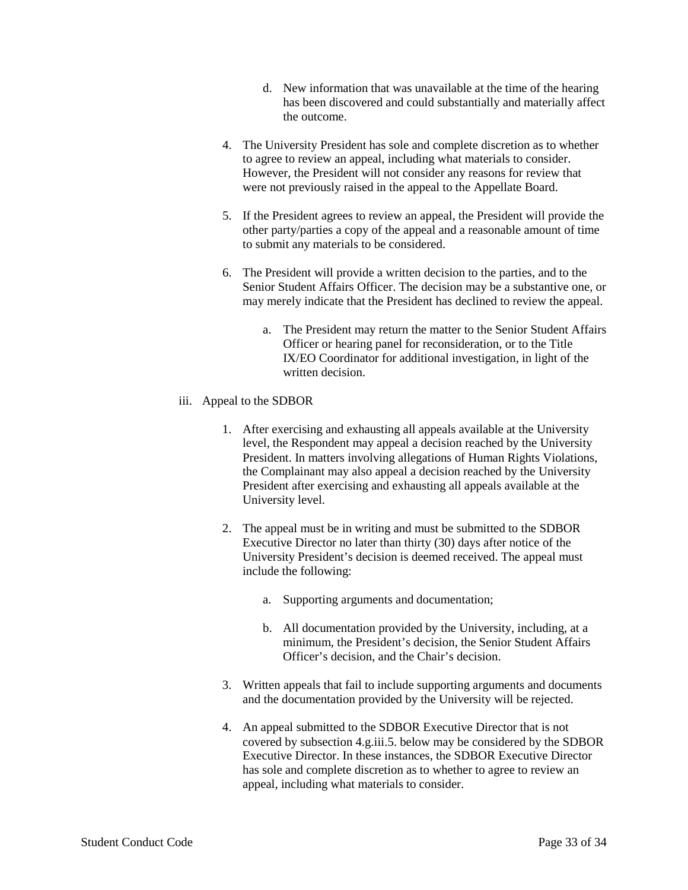- d. New information that was unavailable at the time of the hearing has been discovered and could substantially and materially affect the outcome.
- 4. The University President has sole and complete discretion as to whether to agree to review an appeal, including what materials to consider. However, the President will not consider any reasons for review that were not previously raised in the appeal to the Appellate Board.
- 5. If the President agrees to review an appeal, the President will provide the other party/parties a copy of the appeal and a reasonable amount of time to submit any materials to be considered.
- 6. The President will provide a written decision to the parties, and to the Senior Student Affairs Officer. The decision may be a substantive one, or may merely indicate that the President has declined to review the appeal.
	- a. The President may return the matter to the Senior Student Affairs Officer or hearing panel for reconsideration, or to the Title IX/EO Coordinator for additional investigation, in light of the written decision.
- iii. Appeal to the SDBOR
	- 1. After exercising and exhausting all appeals available at the University level, the Respondent may appeal a decision reached by the University President. In matters involving allegations of Human Rights Violations, the Complainant may also appeal a decision reached by the University President after exercising and exhausting all appeals available at the University level.
	- 2. The appeal must be in writing and must be submitted to the SDBOR Executive Director no later than thirty (30) days after notice of the University President's decision is deemed received. The appeal must include the following:
		- a. Supporting arguments and documentation;
		- b. All documentation provided by the University, including, at a minimum, the President's decision, the Senior Student Affairs Officer's decision, and the Chair's decision.
	- 3. Written appeals that fail to include supporting arguments and documents and the documentation provided by the University will be rejected.
	- 4. An appeal submitted to the SDBOR Executive Director that is not covered by subsection 4.g.iii.5. below may be considered by the SDBOR Executive Director. In these instances, the SDBOR Executive Director has sole and complete discretion as to whether to agree to review an appeal, including what materials to consider.